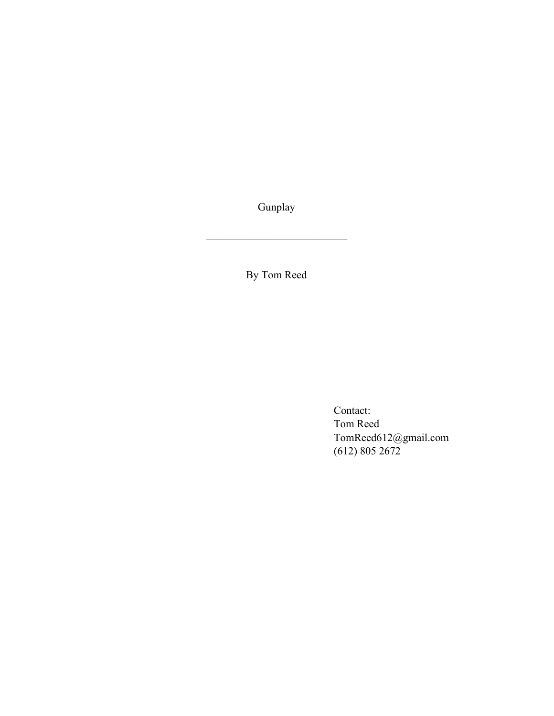Gunplay

 $\mathcal{L}_\text{max}$  , where  $\mathcal{L}_\text{max}$  and  $\mathcal{L}_\text{max}$ 

By Tom Reed

Contact: Tom Reed TomReed612@gmail.com (612) 805 2672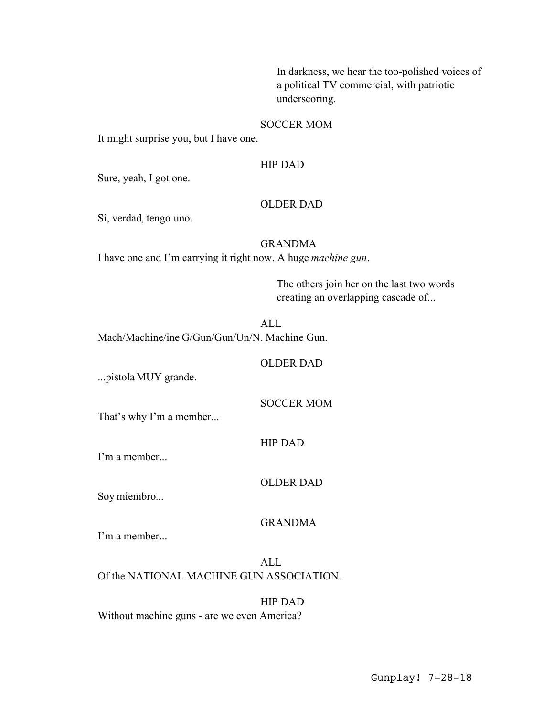In darkness, we hear the too-polished voices of a political TV commercial, with patriotic underscoring.

## SOCCER MOM

It might surprise you, but I have one.

## HIP DAD

Sure, yeah, I got one.

#### OLDER DAD

Si, verdad, tengo uno.

## GRANDMA

I have one and I'm carrying it right now. A huge *machine gun*.

The others join her on the last two words creating an overlapping cascade of...

ALL Mach/Machine/ine G/Gun/Gun/Un/N. Machine Gun.

## OLDER DAD

...pistola MUY grande.

# SOCCER MOM

That's why I'm a member...

# HIP DAD

I'm a member...

## OLDER DAD

Soy miembro...

## GRANDMA

I'm a member...

ALL Of the NATIONAL MACHINE GUN ASSOCIATION.

HIP DAD Without machine guns - are we even America?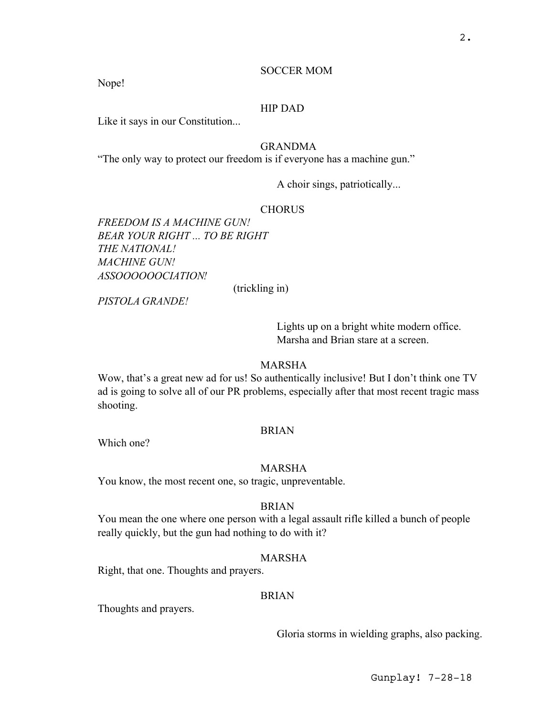#### SOCCER MOM

Nope!

## HIP DAD

Like it says in our Constitution...

# GRANDMA

"The only way to protect our freedom is if everyone has a machine gun."

A choir sings, patriotically...

## **CHORUS**

*FREEDOM IS A MACHINE GUN! BEAR YOUR RIGHT ... TO BE RIGHT THE NATIONAL! MACHINE GUN! ASSOOOOOOCIATION!*

(trickling in)

*PISTOLA GRANDE!*

Lights up on a bright white modern office. Marsha and Brian stare at a screen.

#### MARSHA

Wow, that's a great new ad for us! So authentically inclusive! But I don't think one TV ad is going to solve all of our PR problems, especially after that most recent tragic mass shooting.

#### BRIAN

Which one?

#### MARSHA

You know, the most recent one, so tragic, unpreventable.

#### BRIAN

You mean the one where one person with a legal assault rifle killed a bunch of people really quickly, but the gun had nothing to do with it?

#### MARSHA

Right, that one. Thoughts and prayers.

#### BRIAN

Thoughts and prayers.

Gloria storms in wielding graphs, also packing.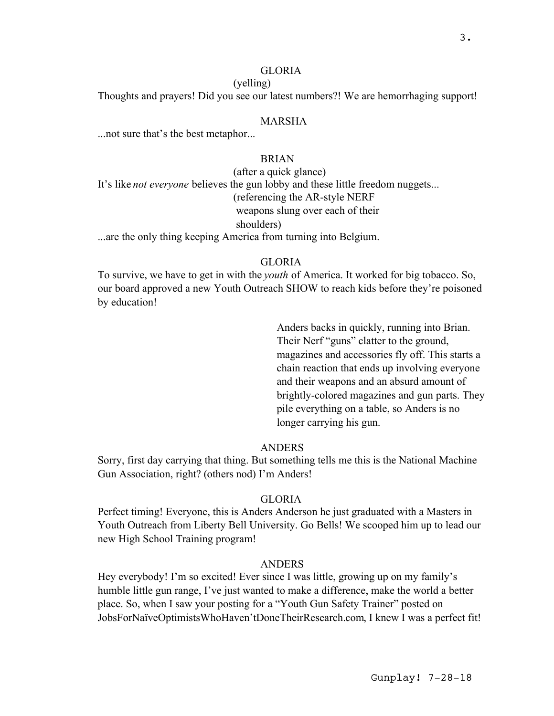## GLORIA

#### (yelling)

Thoughts and prayers! Did you see our latest numbers?! We are hemorrhaging support!

#### MARSHA

...not sure that's the best metaphor...

# BRIAN

(after a quick glance) It's like *not everyone* believes the gun lobby and these little freedom nuggets... (referencing the AR-style NERF weapons slung over each of their shoulders)

...are the only thing keeping America from turning into Belgium.

#### GLORIA

To survive, we have to get in with the *youth* of America. It worked for big tobacco. So, our board approved a new Youth Outreach SHOW to reach kids before they're poisoned by education!

> Anders backs in quickly, running into Brian. Their Nerf "guns" clatter to the ground, magazines and accessories fly off. This starts a chain reaction that ends up involving everyone and their weapons and an absurd amount of brightly-colored magazines and gun parts. They pile everything on a table, so Anders is no longer carrying his gun.

# ANDERS

Sorry, first day carrying that thing. But something tells me this is the National Machine Gun Association, right? (others nod) I'm Anders!

## GLORIA

Perfect timing! Everyone, this is Anders Anderson he just graduated with a Masters in Youth Outreach from Liberty Bell University. Go Bells! We scooped him up to lead our new High School Training program!

#### **ANDERS**

Hey everybody! I'm so excited! Ever since I was little, growing up on my family's humble little gun range, I've just wanted to make a difference, make the world a better place. So, when I saw your posting for a "Youth Gun Safety Trainer" posted on JobsForNaïveOptimistsWhoHaven'tDoneTheirResearch.com, I knew I was a perfect fit!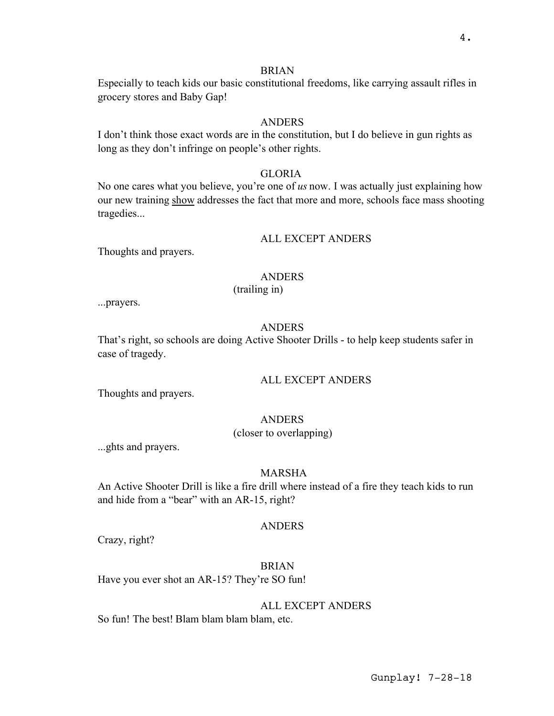#### BRIAN

Especially to teach kids our basic constitutional freedoms, like carrying assault rifles in grocery stores and Baby Gap!

## **ANDERS**

I don't think those exact words are in the constitution, but I do believe in gun rights as long as they don't infringe on people's other rights.

#### **GLORIA**

No one cares what you believe, you're one of *us* now. I was actually just explaining how our new training show addresses the fact that more and more, schools face mass shooting tragedies...

#### ALL EXCEPT ANDERS

Thoughts and prayers.

#### ANDERS

(trailing in)

...prayers.

#### ANDERS

That's right, so schools are doing Active Shooter Drills - to help keep students safer in case of tragedy.

#### ALL EXCEPT ANDERS

Thoughts and prayers.

# ANDERS

(closer to overlapping)

...ghts and prayers.

#### MARSHA

An Active Shooter Drill is like a fire drill where instead of a fire they teach kids to run and hide from a "bear" with an AR-15, right?

## ANDERS

Crazy, right?

#### BRIAN

Have you ever shot an AR-15? They're SO fun!

#### ALL EXCEPT ANDERS

So fun! The best! Blam blam blam blam, etc.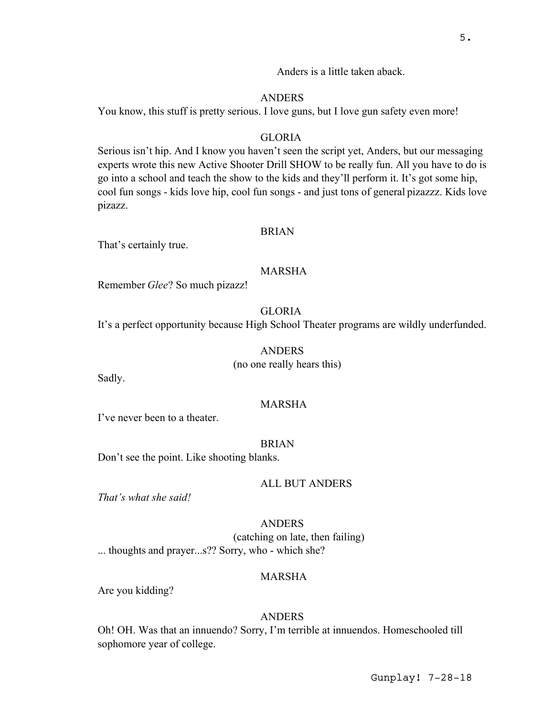Anders is a little taken aback.

#### **ANDERS**

You know, this stuff is pretty serious. I love guns, but I love gun safety even more!

#### GLORIA

Serious isn't hip. And I know you haven't seen the script yet, Anders, but our messaging experts wrote this new Active Shooter Drill SHOW to be really fun. All you have to do is go into a school and teach the show to the kids and they'll perform it. It's got some hip, cool fun songs - kids love hip, cool fun songs - and just tons of general pizazzz. Kids love pizazz.

#### BRIAN

That's certainly true.

#### MARSHA

Remember *Glee*? So much pizazz!

#### GLORIA

It's a perfect opportunity because High School Theater programs are wildly underfunded.

#### ANDERS

(no one really hears this)

Sadly.

## MARSHA

I've never been to a theater.

#### BRIAN

Don't see the point. Like shooting blanks.

## ALL BUT ANDERS

*That's what she said!*

#### ANDERS

(catching on late, then failing) ... thoughts and prayer...s?? Sorry, who - which she?

# MARSHA

Are you kidding?

#### ANDERS

Oh! OH. Was that an innuendo? Sorry, I'm terrible at innuendos. Homeschooled till sophomore year of college.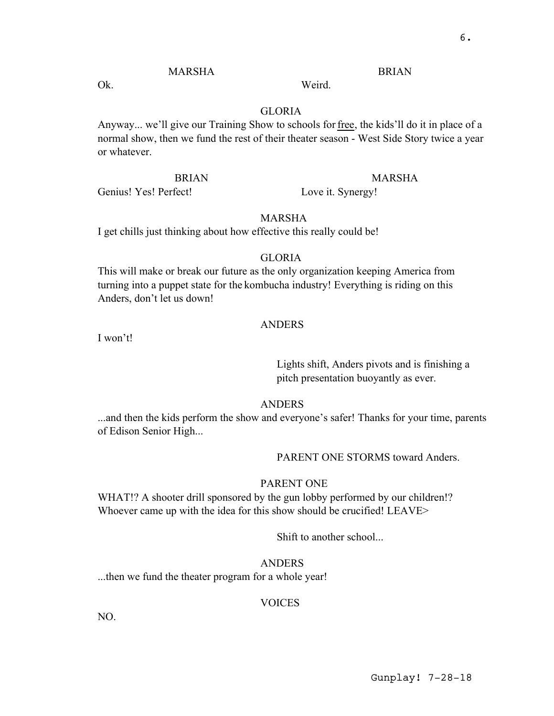# MARSHA

Ok.

#### GLORIA

Anyway... we'll give our Training Show to schools for free, the kids'll do it in place of a normal show, then we fund the rest of their theater season - West Side Story twice a year or whatever.

Weird.

#### BRIAN

Genius! Yes! Perfect!

## MARSHA

BRIAN

Love it. Synergy!

# MARSHA

I get chills just thinking about how effective this really could be!

#### GLORIA

This will make or break our future as the only organization keeping America from turning into a puppet state for the kombucha industry! Everything is riding on this Anders, don't let us down!

#### ANDERS

I won't!

Lights shift, Anders pivots and is finishing a pitch presentation buoyantly as ever.

## **ANDERS**

...and then the kids perform the show and everyone's safer! Thanks for your time, parents of Edison Senior High...

PARENT ONE STORMS toward Anders.

## PARENT ONE

WHAT!? A shooter drill sponsored by the gun lobby performed by our children!? Whoever came up with the idea for this show should be crucified! LEAVE>

Shift to another school...

#### ANDERS

...then we fund the theater program for a whole year!

#### VOICES

NO.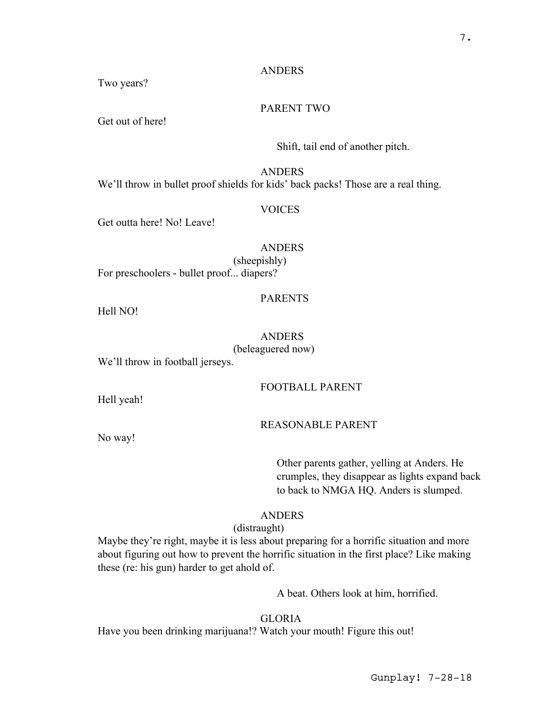# ANDERS

Two years?

## PARENT TWO

Get out of here!

# Shift, tail end of another pitch.

#### ANDERS

We'll throw in bullet proof shields for kids' back packs! Those are a real thing.

# VOICES

Get outta here! No! Leave!

# ANDERS

(sheepishly) For preschoolers - bullet proof... diapers?

# PARENTS

Hell NO!

## ANDERS

(beleaguered now)

We'll throw in football jerseys.

# FOOTBALL PARENT

Hell yeah!

No way!

## REASONABLE PARENT

Other parents gather, yelling at Anders. He crumples, they disappear as lights expand back to back to NMGA HQ. Anders is slumped.

# **ANDERS**

(distraught)

Maybe they're right, maybe it is less about preparing for a horrific situation and more about figuring out how to prevent the horrific situation in the first place? Like making these (re: his gun) harder to get ahold of.

A beat. Others look at him, horrified.

# GLORIA

Have you been drinking marijuana!? Watch your mouth! Figure this out!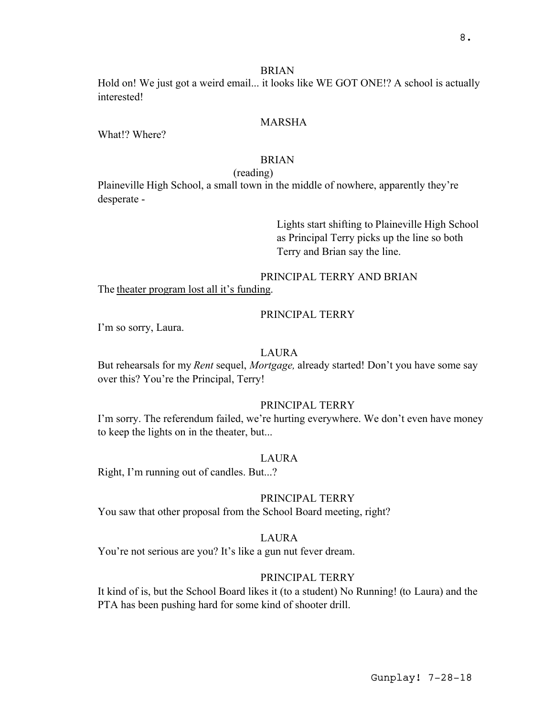#### BRIAN

Hold on! We just got a weird email... it looks like WE GOT ONE!? A school is actually interested!

## MARSHA

What!? Where?

## BRIAN

#### (reading)

Plaineville High School, a small town in the middle of nowhere, apparently they're desperate -

> Lights start shifting to Plaineville High School as Principal Terry picks up the line so both Terry and Brian say the line.

# PRINCIPAL TERRY AND BRIAN

The theater program lost all it's funding.

# PRINCIPAL TERRY

I'm so sorry, Laura.

## LAURA

But rehearsals for my *Rent* sequel, *Mortgage,* already started! Don't you have some say over this? You're the Principal, Terry!

# PRINCIPAL TERRY

I'm sorry. The referendum failed, we're hurting everywhere. We don't even have money to keep the lights on in the theater, but...

#### LAURA

Right, I'm running out of candles. But...?

## PRINCIPAL TERRY

You saw that other proposal from the School Board meeting, right?

## LAURA

You're not serious are you? It's like a gun nut fever dream.

# PRINCIPAL TERRY

It kind of is, but the School Board likes it (to a student) No Running! (to Laura) and the PTA has been pushing hard for some kind of shooter drill.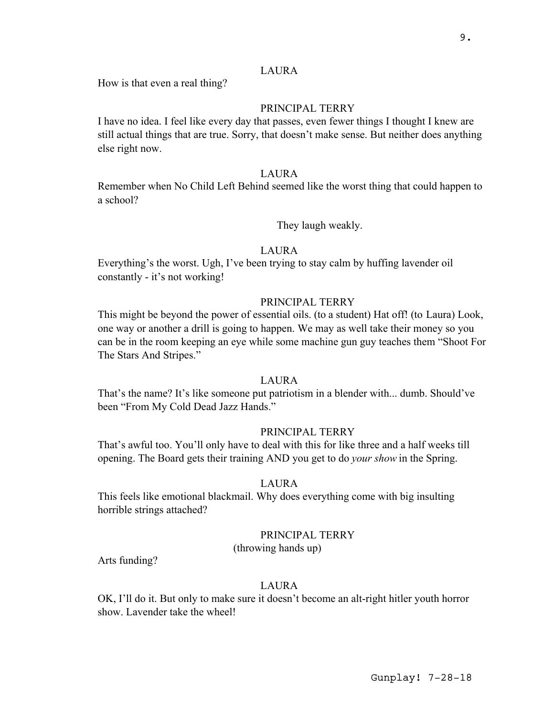#### LAURA

How is that even a real thing?

#### PRINCIPAL TERRY

I have no idea. I feel like every day that passes, even fewer things I thought I knew are still actual things that are true. Sorry, that doesn't make sense. But neither does anything else right now.

#### LAURA

Remember when No Child Left Behind seemed like the worst thing that could happen to a school?

They laugh weakly.

#### LAURA

Everything's the worst. Ugh, I've been trying to stay calm by huffing lavender oil constantly - it's not working!

#### PRINCIPAL TERRY

This might be beyond the power of essential oils. (to a student) Hat off! (to Laura) Look, one way or another a drill is going to happen. We may as well take their money so you can be in the room keeping an eye while some machine gun guy teaches them "Shoot For The Stars And Stripes."

#### LAURA

That's the name? It's like someone put patriotism in a blender with... dumb. Should've been "From My Cold Dead Jazz Hands."

# PRINCIPAL TERRY

That's awful too. You'll only have to deal with this for like three and a half weeks till opening. The Board gets their training AND you get to do *your show* in the Spring.

# LAURA

This feels like emotional blackmail. Why does everything come with big insulting horrible strings attached?

#### PRINCIPAL TERRY

(throwing hands up)

Arts funding?

#### LAURA

OK, I'll do it. But only to make sure it doesn't become an alt-right hitler youth horror show. Lavender take the wheel!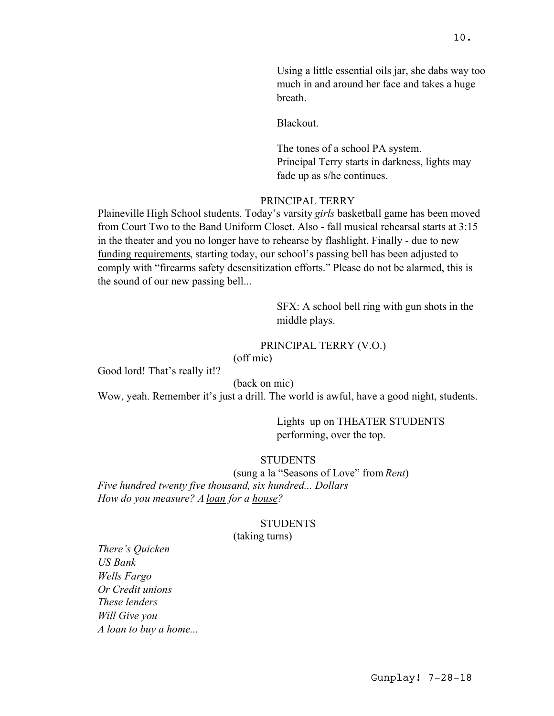Using a little essential oils jar, she dabs way too much in and around her face and takes a huge breath.

Blackout.

The tones of a school PA system. Principal Terry starts in darkness, lights may fade up as s/he continues.

## PRINCIPAL TERRY

Plaineville High School students. Today's varsity *girls* basketball game has been moved from Court Two to the Band Uniform Closet. Also - fall musical rehearsal starts at 3:15 in the theater and you no longer have to rehearse by flashlight. Finally - due to new funding requirements, starting today, our school's passing bell has been adjusted to comply with "firearms safety desensitization efforts." Please do not be alarmed, this is the sound of our new passing bell...

> SFX: A school bell ring with gun shots in the middle plays.

## PRINCIPAL TERRY (V.O.)

(off mic)

Good lord! That's really it!?

(back on mic)

Wow, yeah. Remember it's just a drill. The world is awful, have a good night, students.

Lights up on THEATER STUDENTS performing, over the top.

# **STUDENTS**

(sung a la "Seasons of Love" from *Rent*) *Five hundred twenty five thousand, six hundred... Dollars How do you measure? A loan for a house?*

#### **STUDENTS**

## (taking turns)

*There's Quicken US Bank Wells Fargo Or Credit unions These lenders Will Give you A loan to buy a home...*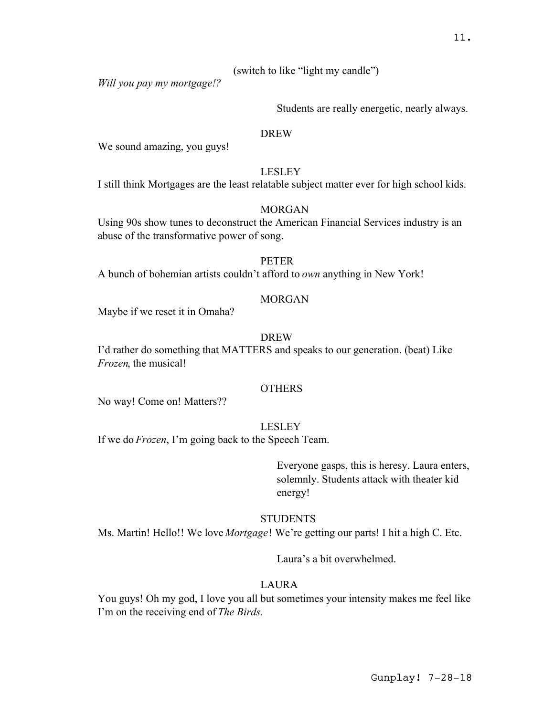(switch to like "light my candle")

*Will you pay my mortgage!?*

Students are really energetic, nearly always.

#### DREW

We sound amazing, you guys!

#### LESLEY

I still think Mortgages are the least relatable subject matter ever for high school kids.

# MORGAN

Using 90s show tunes to deconstruct the American Financial Services industry is an abuse of the transformative power of song.

#### PETER

A bunch of bohemian artists couldn't afford to *own* anything in New York!

## **MORGAN**

Maybe if we reset it in Omaha?

#### DREW

I'd rather do something that MATTERS and speaks to our generation. (beat) Like *Frozen*, the musical!

#### **OTHERS**

No way! Come on! Matters??

#### LESLEY

If we do *Frozen*, I'm going back to the Speech Team.

Everyone gasps, this is heresy. Laura enters, solemnly. Students attack with theater kid energy!

# **STUDENTS**

Ms. Martin! Hello!! We love *Mortgage*! We're getting our parts! I hit a high C. Etc.

Laura's a bit overwhelmed.

## LAURA

You guys! Oh my god, I love you all but sometimes your intensity makes me feel like I'm on the receiving end of *The Birds.*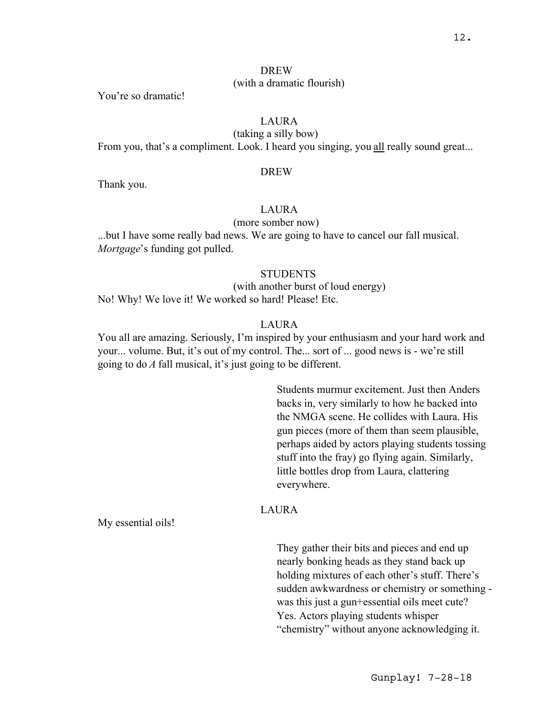## DREW (with a dramatic flourish)

You're so dramatic!

# LAURA

(taking a silly bow) From you, that's a compliment. Look. I heard you singing, you all really sound great...

#### DREW

Thank you.

# LAURA

## (more somber now)

...but I have some really bad news. We are going to have to cancel our fall musical. *Mortgage*'s funding got pulled.

## **STUDENTS**

(with another burst of loud energy) No! Why! We love it! We worked so hard! Please! Etc.

#### LAURA

You all are amazing. Seriously, I'm inspired by your enthusiasm and your hard work and your... volume. But, it's out of my control. The... sort of ... good news is - we're still going to do *A* fall musical, it's just going to be different.

> Students murmur excitement. Just then Anders backs in, very similarly to how he backed into the NMGA scene. He collides with Laura. His gun pieces (more of them than seem plausible, perhaps aided by actors playing students tossing stuff into the fray) go flying again. Similarly, little bottles drop from Laura, clattering everywhere.

## LAURA

My essential oils!

They gather their bits and pieces and end up nearly bonking heads as they stand back up holding mixtures of each other's stuff. There's sudden awkwardness or chemistry or something was this just a gun+essential oils meet cute? Yes. Actors playing students whisper "chemistry" without anyone acknowledging it.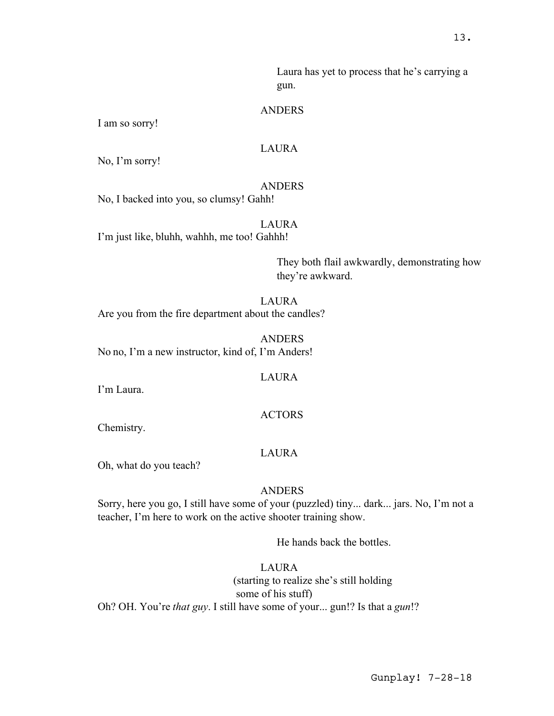Laura has yet to process that he's carrying a gun.

#### ANDERS

I am so sorry!

#### LAURA

No, I'm sorry!

#### ANDERS

No, I backed into you, so clumsy! Gahh!

# LAURA

I'm just like, bluhh, wahhh, me too! Gahhh!

They both flail awkwardly, demonstrating how they're awkward.

#### LAURA

Are you from the fire department about the candles?

ANDERS No no, I'm a new instructor, kind of, I'm Anders!

#### LAURA

I'm Laura.

#### **ACTORS**

Chemistry.

#### LAURA

Oh, what do you teach?

#### ANDERS

Sorry, here you go, I still have some of your (puzzled) tiny... dark... jars. No, I'm not a teacher, I'm here to work on the active shooter training show.

He hands back the bottles.

# LAURA

(starting to realize she's still holding some of his stuff) Oh? OH. You're *that guy*. I still have some of your... gun!? Is that a *gun*!?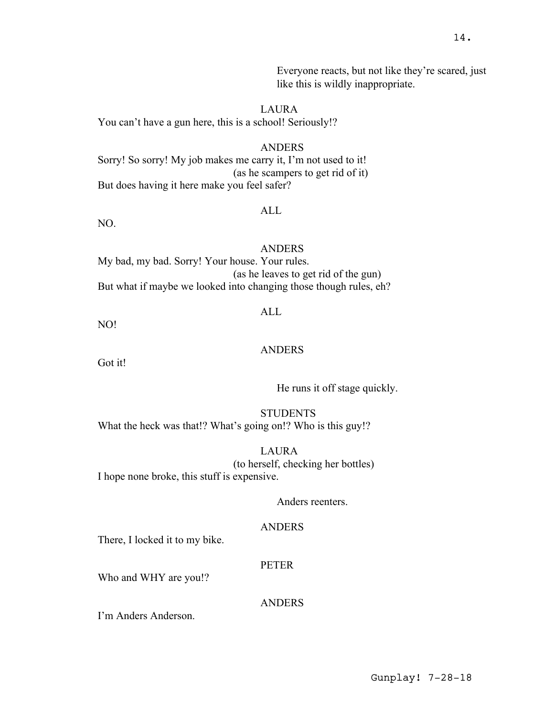ANDERS

ALL

My bad, my bad. Sorry! Your house. Your rules. (as he leaves to get rid of the gun) But what if maybe we looked into changing those though rules, eh?

NO!

NO.

## ANDERS

ALL

Got it!

He runs it off stage quickly.

**STUDENTS** What the heck was that!? What's going on!? Who is this guy!?

LAURA (to herself, checking her bottles) I hope none broke, this stuff is expensive.

#### Anders reenters.

#### ANDERS

There, I locked it to my bike.

#### PETER

Who and WHY are you!?

ANDERS

I'm Anders Anderson.

Everyone reacts, but not like they're scared, just like this is wildly inappropriate.

# LAURA

ANDERS

(as he scampers to get rid of it)

You can't have a gun here, this is a school! Seriously!?

But does having it here make you feel safer?

Sorry! So sorry! My job makes me carry it, I'm not used to it!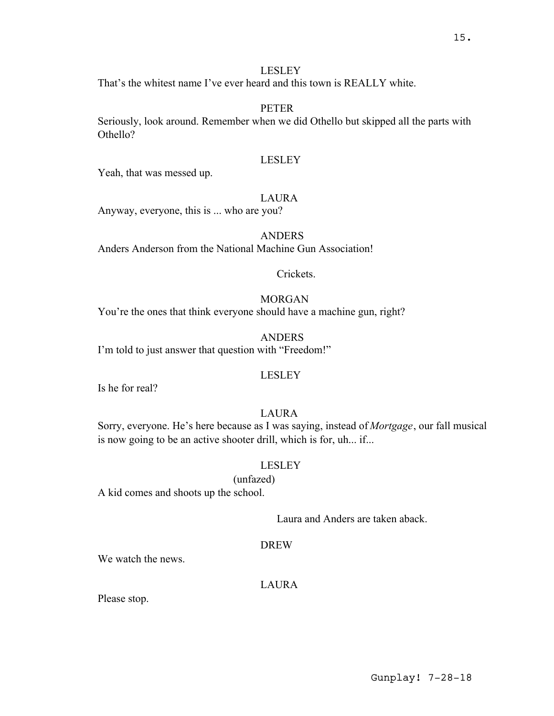## LESLEY

That's the whitest name I've ever heard and this town is REALLY white.

## **PETER**

Seriously, look around. Remember when we did Othello but skipped all the parts with Othello?

## LESLEY

Yeah, that was messed up.

## LAURA

Anyway, everyone, this is ... who are you?

## ANDERS

Anders Anderson from the National Machine Gun Association!

# Crickets.

# MORGAN

You're the ones that think everyone should have a machine gun, right?

ANDERS I'm told to just answer that question with "Freedom!"

#### LESLEY

Is he for real?

## LAURA

Sorry, everyone. He's here because as I was saying, instead of *Mortgage*, our fall musical is now going to be an active shooter drill, which is for, uh... if...

#### LESLEY

(unfazed)

A kid comes and shoots up the school.

Laura and Anders are taken aback.

#### **DREW**

We watch the news.

## LAURA

Please stop.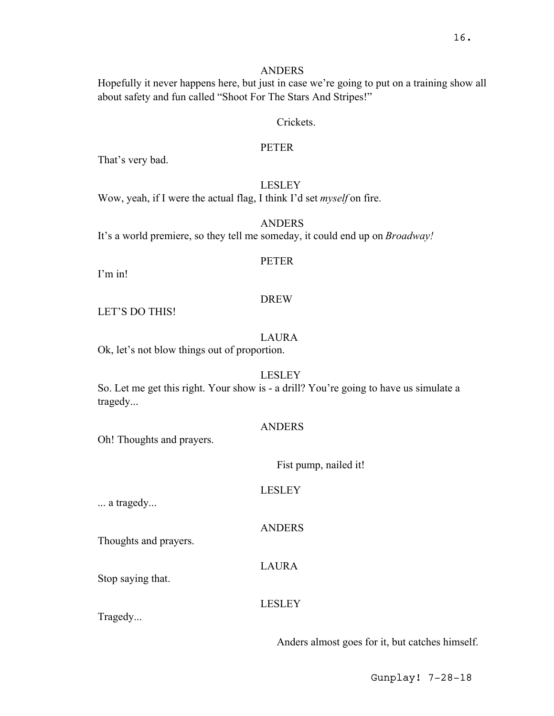# ANDERS

Hopefully it never happens here, but just in case we're going to put on a training show all about safety and fun called "Shoot For The Stars And Stripes!"

## Crickets.

## PETER

That's very bad.

## LESLEY

Wow, yeah, if I were the actual flag, I think I'd set *myself* on fire.

ANDERS It's a world premiere, so they tell me someday, it could end up on *Broadway!*

## PETER

I'm in!

# DREW

LET'S DO THIS!

# LAURA

Ok, let's not blow things out of proportion.

# LESLEY

So. Let me get this right. Your show is - a drill? You're going to have us simulate a tragedy...

# ANDERS

Oh! Thoughts and prayers.

# Fist pump, nailed it!

LESLEY

ANDERS

... a tragedy...

Thoughts and prayers.

Stop saying that.

LAURA

# LESLEY

Tragedy...

Anders almost goes for it, but catches himself.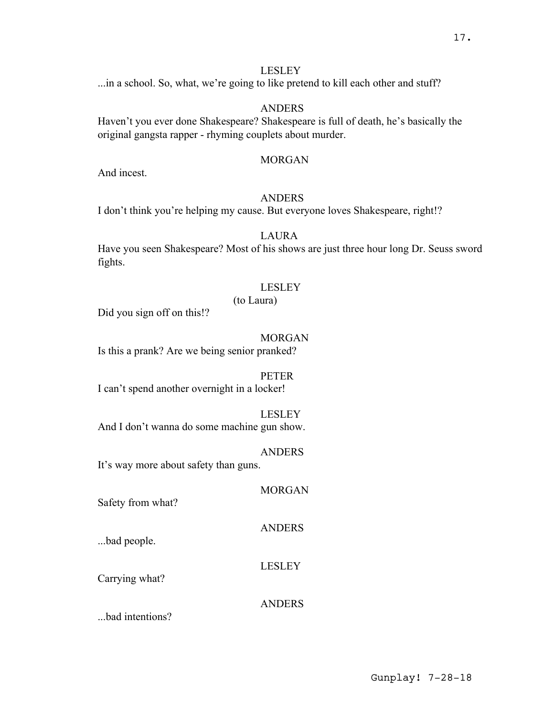# LESLEY

...in a school. So, what, we're going to like pretend to kill each other and stuff?

# ANDERS

Haven't you ever done Shakespeare? Shakespeare is full of death, he's basically the original gangsta rapper - rhyming couplets about murder.

# MORGAN

And incest.

# ANDERS

I don't think you're helping my cause. But everyone loves Shakespeare, right!?

# LAURA

Have you seen Shakespeare? Most of his shows are just three hour long Dr. Seuss sword fights.

# LESLEY

# (to Laura)

Did you sign off on this!?

# MORGAN

Is this a prank? Are we being senior pranked?

# PETER

I can't spend another overnight in a locker!

#### LESLEY

And I don't wanna do some machine gun show.

# ANDERS

It's way more about safety than guns.

# MORGAN

Safety from what?

# ANDERS

...bad people.

# LESLEY

Carrying what?

# ANDERS

...bad intentions?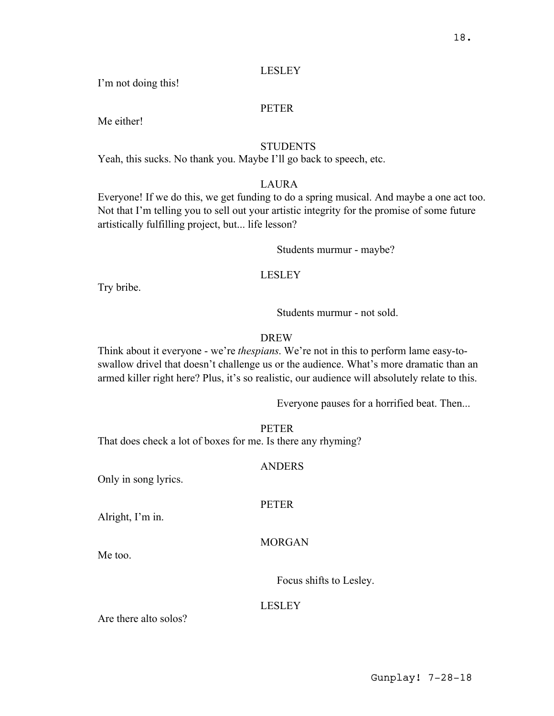## LESLEY

I'm not doing this!

#### PETER

Me either!

# **STUDENTS**

Yeah, this sucks. No thank you. Maybe I'll go back to speech, etc.

## LAURA

Everyone! If we do this, we get funding to do a spring musical. And maybe a one act too. Not that I'm telling you to sell out your artistic integrity for the promise of some future artistically fulfilling project, but... life lesson?

Students murmur - maybe?

#### LESLEY

Try bribe.

Students murmur - not sold.

## DREW

Think about it everyone - we're *thespians*. We're not in this to perform lame easy-toswallow drivel that doesn't challenge us or the audience. What's more dramatic than an armed killer right here? Plus, it's so realistic, our audience will absolutely relate to this.

Everyone pauses for a horrified beat. Then...

#### PETER

That does check a lot of boxes for me. Is there any rhyming?

#### ANDERS

**PETER** 

Only in song lyrics.

Alright, I'm in.

#### MORGAN

Me too.

Focus shifts to Lesley.

#### LESLEY

Are there alto solos?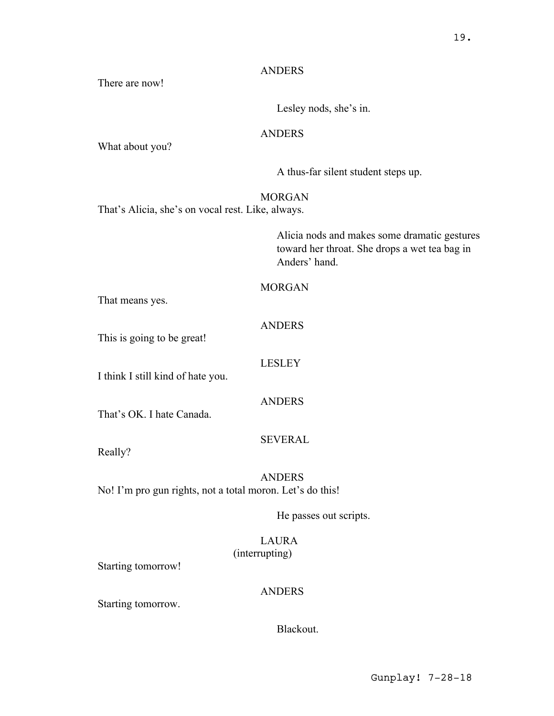# ANDERS

There are now!

Lesley nods, she's in.

# ANDERS

What about you?

A thus-far silent student steps up.

# MORGAN

That's Alicia, she's on vocal rest. Like, always.

Alicia nods and makes some dramatic gestures toward her throat. She drops a wet tea bag in Anders' hand.

# MORGAN

That means yes.

# **ANDERS**

This is going to be great!

LESLEY

I think I still kind of hate you.

ANDERS

That's OK. I hate Canada.

SEVERAL

Really?

ANDERS No! I'm pro gun rights, not a total moron. Let's do this!

He passes out scripts.

# LAURA (interrupting)

Starting tomorrow!

# ANDERS

Starting tomorrow.

Blackout.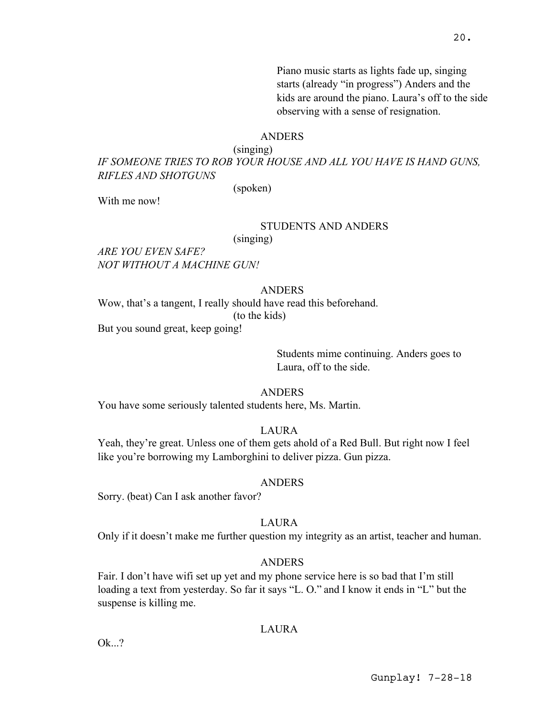Piano music starts as lights fade up, singing starts (already "in progress") Anders and the kids are around the piano. Laura's off to the side observing with a sense of resignation.

#### ANDERS

(singing)

*IF SOMEONE TRIES TO ROB YOUR HOUSE AND ALL YOU HAVE IS HAND GUNS, RIFLES AND SHOTGUNS*

(spoken)

With me now!

#### STUDENTS AND ANDERS

(singing)

*ARE YOU EVEN SAFE? NOT WITHOUT A MACHINE GUN!*

## **ANDERS**

Wow, that's a tangent, I really should have read this beforehand. (to the kids) But you sound great, keep going!

> Students mime continuing. Anders goes to Laura, off to the side.

ANDERS

You have some seriously talented students here, Ms. Martin.

LAURA

Yeah, they're great. Unless one of them gets ahold of a Red Bull. But right now I feel like you're borrowing my Lamborghini to deliver pizza. Gun pizza.

#### ANDERS

Sorry. (beat) Can I ask another favor?

## LAURA

Only if it doesn't make me further question my integrity as an artist, teacher and human.

#### ANDERS

Fair. I don't have wifi set up yet and my phone service here is so bad that I'm still loading a text from yesterday. So far it says "L. O." and I know it ends in "L" but the suspense is killing me.

## **LAURA**

 $Qk$ ...?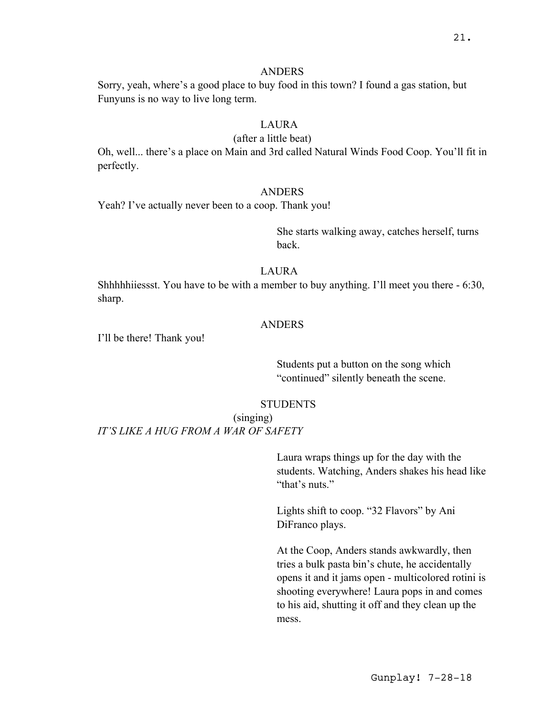#### ANDERS

Sorry, yeah, where's a good place to buy food in this town? I found a gas station, but Funyuns is no way to live long term.

# LAURA

#### (after a little beat)

Oh, well... there's a place on Main and 3rd called Natural Winds Food Coop. You'll fit in perfectly.

#### ANDERS

Yeah? I've actually never been to a coop. Thank you!

She starts walking away, catches herself, turns back.

# LAURA

Shhhhhiiessst. You have to be with a member to buy anything. I'll meet you there - 6:30, sharp.

#### ANDERS

I'll be there! Thank you!

Students put a button on the song which "continued" silently beneath the scene.

#### **STUDENTS**

(singing) *IT'S LIKE A HUG FROM A WAR OF SAFETY*

> Laura wraps things up for the day with the students. Watching, Anders shakes his head like "that's nuts."

Lights shift to coop. "32 Flavors" by Ani DiFranco plays.

At the Coop, Anders stands awkwardly, then tries a bulk pasta bin's chute, he accidentally opens it and it jams open - multicolored rotini is shooting everywhere! Laura pops in and comes to his aid, shutting it off and they clean up the mess.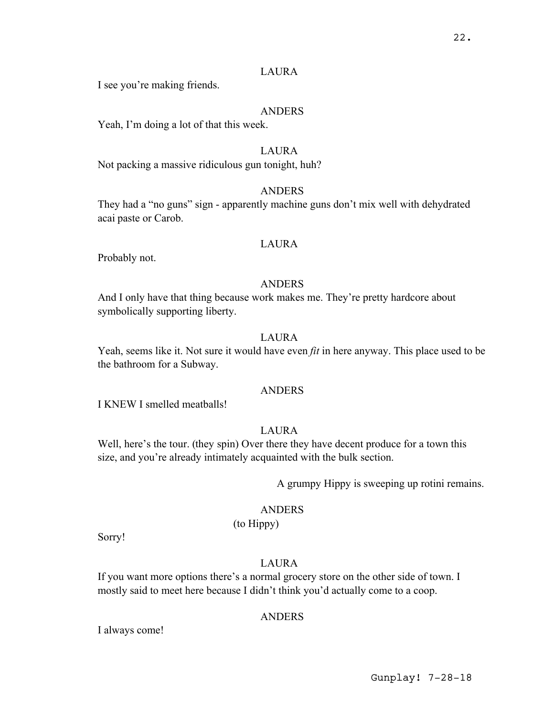## LAURA

I see you're making friends.

## ANDERS

Yeah, I'm doing a lot of that this week.

# LAURA

Not packing a massive ridiculous gun tonight, huh?

## ANDERS

They had a "no guns" sign - apparently machine guns don't mix well with dehydrated acai paste or Carob.

## LAURA

Probably not.

## ANDERS

And I only have that thing because work makes me. They're pretty hardcore about symbolically supporting liberty.

# LAURA

Yeah, seems like it. Not sure it would have even *fit* in here anyway. This place used to be the bathroom for a Subway.

## ANDERS

I KNEW I smelled meatballs!

# LAURA

Well, here's the tour. (they spin) Over there they have decent produce for a town this size, and you're already intimately acquainted with the bulk section.

A grumpy Hippy is sweeping up rotini remains.

#### **ANDERS**

(to Hippy)

Sorry!

# LAURA

If you want more options there's a normal grocery store on the other side of town. I mostly said to meet here because I didn't think you'd actually come to a coop.

## ANDERS

I always come!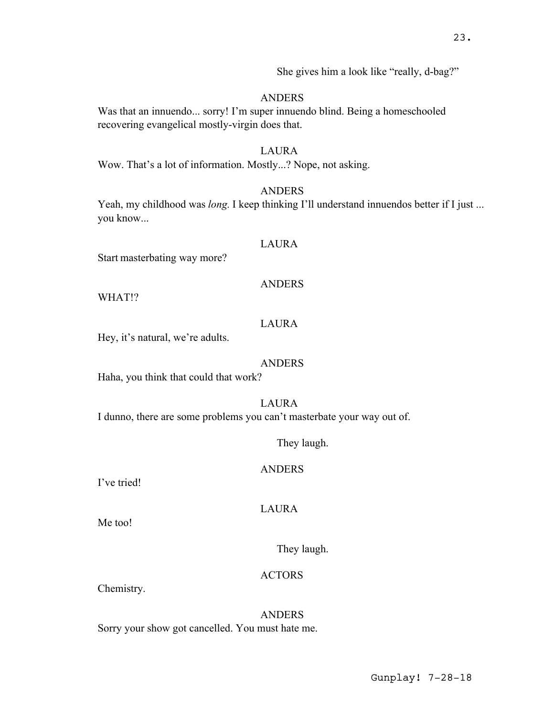She gives him a look like "really, d-bag?"

# ANDERS

Was that an innuendo... sorry! I'm super innuendo blind. Being a homeschooled recovering evangelical mostly-virgin does that.

## LAURA

Wow. That's a lot of information. Mostly...? Nope, not asking.

## ANDERS

Yeah, my childhood was *long*. I keep thinking I'll understand innuendos better if I just ... you know...

#### LAURA

Start masterbating way more?

#### ANDERS

WHAT!?

## LAURA

Hey, it's natural, we're adults.

#### ANDERS

Haha, you think that could that work?

# LAURA

I dunno, there are some problems you can't masterbate your way out of.

They laugh.

## ANDERS

I've tried!

#### LAURA

Me too!

They laugh.

## ACTORS

Chemistry.

ANDERS Sorry your show got cancelled. You must hate me.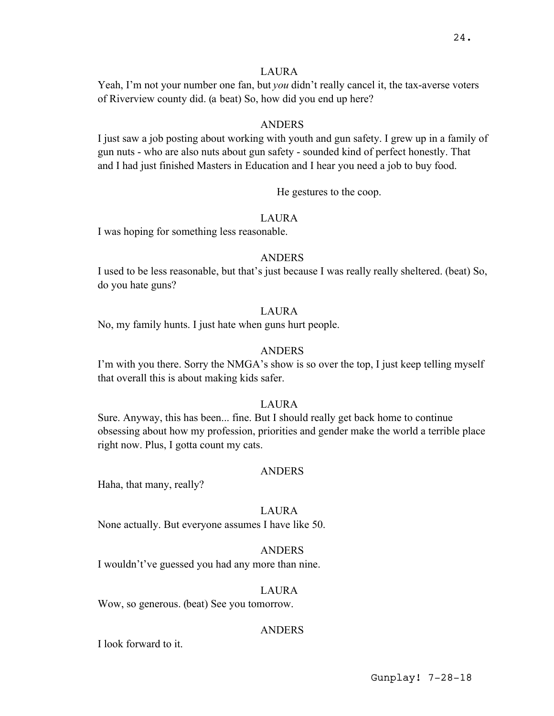## LAURA

Yeah, I'm not your number one fan, but *you* didn't really cancel it, the tax-averse voters of Riverview county did. (a beat) So, how did you end up here?

#### ANDERS

I just saw a job posting about working with youth and gun safety. I grew up in a family of gun nuts - who are also nuts about gun safety - sounded kind of perfect honestly. That and I had just finished Masters in Education and I hear you need a job to buy food.

He gestures to the coop.

## LAURA

I was hoping for something less reasonable.

#### ANDERS

I used to be less reasonable, but that's just because I was really really sheltered. (beat) So, do you hate guns?

## LAURA

No, my family hunts. I just hate when guns hurt people.

## ANDERS

I'm with you there. Sorry the NMGA's show is so over the top, I just keep telling myself that overall this is about making kids safer.

## LAURA

Sure. Anyway, this has been... fine. But I should really get back home to continue obsessing about how my profession, priorities and gender make the world a terrible place right now. Plus, I gotta count my cats.

#### ANDERS

Haha, that many, really?

#### LAURA

None actually. But everyone assumes I have like 50.

#### ANDERS

I wouldn't've guessed you had any more than nine.

#### LAURA

Wow, so generous. (beat) See you tomorrow.

#### ANDERS

I look forward to it.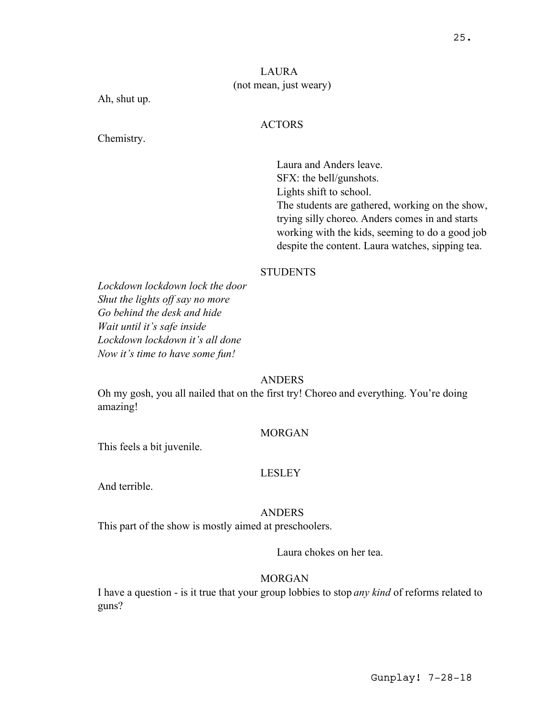# LAURA (not mean, just weary)

Ah, shut up.

## ACTORS

Chemistry.

Laura and Anders leave. SFX: the bell/gunshots. Lights shift to school. The students are gathered, working on the show, trying silly choreo. Anders comes in and starts working with the kids, seeming to do a good job despite the content. Laura watches, sipping tea.

# **STUDENTS**

*Lockdown lockdown lock the door Shut the lights off say no more Go behind the desk and hide Wait until it's safe inside Lockdown lockdown it's all done Now it's time to have some fun!*

# **ANDERS**

Oh my gosh, you all nailed that on the first try! Choreo and everything. You're doing amazing!

# MORGAN

This feels a bit juvenile.

# LESLEY

And terrible.

#### ANDERS

This part of the show is mostly aimed at preschoolers.

Laura chokes on her tea.

# MORGAN

I have a question - is it true that your group lobbies to stop *any kind* of reforms related to guns?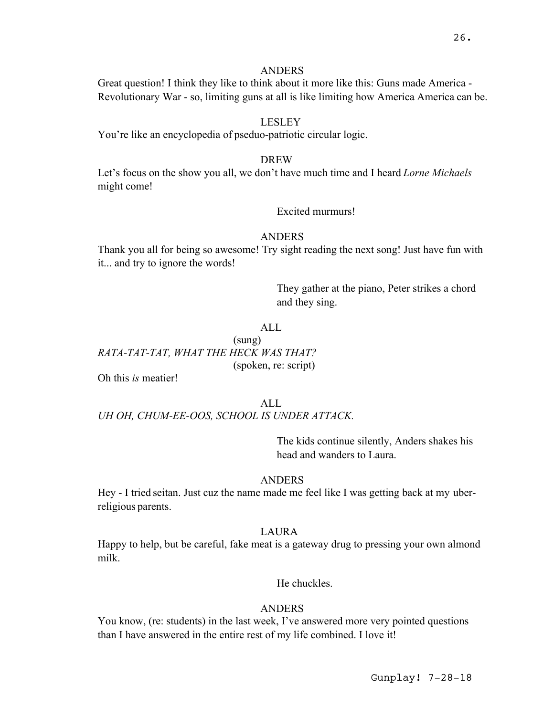#### **ANDERS**

Great question! I think they like to think about it more like this: Guns made America - Revolutionary War - so, limiting guns at all is like limiting how America America can be.

## LESLEY

You're like an encyclopedia of pseduo-patriotic circular logic.

## DREW

Let's focus on the show you all, we don't have much time and I heard *Lorne Michaels* might come!

# Excited murmurs!

#### ANDERS

Thank you all for being so awesome! Try sight reading the next song! Just have fun with it... and try to ignore the words!

> They gather at the piano, Peter strikes a chord and they sing.

## $AI<sub>L</sub>$

# (sung) *RATA-TAT-TAT, WHAT THE HECK WAS THAT?* (spoken, re: script)

Oh this *is* meatier!

ALL *UH OH, CHUM-EE-OOS, SCHOOL IS UNDER ATTACK.*

> The kids continue silently, Anders shakes his head and wanders to Laura.

## **ANDERS**

Hey - I tried seitan. Just cuz the name made me feel like I was getting back at my uberreligious parents.

#### LAURA

Happy to help, but be careful, fake meat is a gateway drug to pressing your own almond milk.

He chuckles.

#### ANDERS

You know, (re: students) in the last week, I've answered more very pointed questions than I have answered in the entire rest of my life combined. I love it!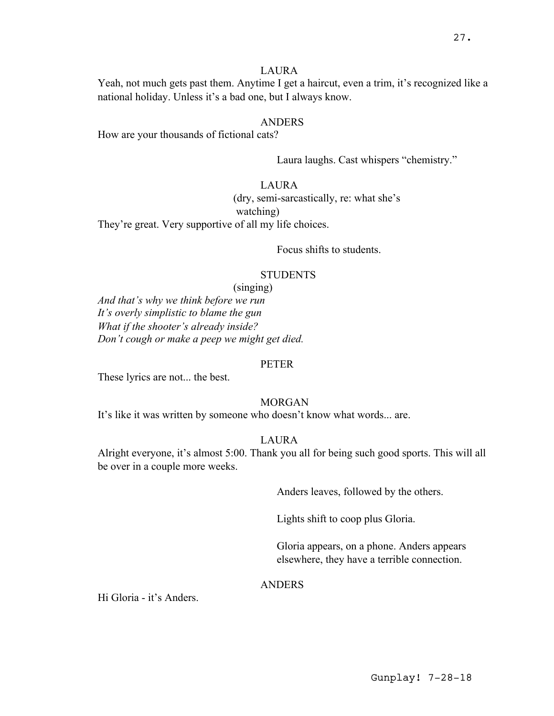#### LAURA

Yeah, not much gets past them. Anytime I get a haircut, even a trim, it's recognized like a national holiday. Unless it's a bad one, but I always know.

## **ANDERS**

How are your thousands of fictional cats?

Laura laughs. Cast whispers "chemistry."

# LAURA

(dry, semi-sarcastically, re: what she's watching)

They're great. Very supportive of all my life choices.

Focus shifts to students.

## **STUDENTS**

(singing)

*And that's why we think before we run It's overly simplistic to blame the gun What if the shooter's already inside? Don't cough or make a peep we might get died.*

#### PETER

These lyrics are not... the best.

## MORGAN

It's like it was written by someone who doesn't know what words... are.

#### LAURA

Alright everyone, it's almost 5:00. Thank you all for being such good sports. This will all be over in a couple more weeks.

Anders leaves, followed by the others.

Lights shift to coop plus Gloria.

Gloria appears, on a phone. Anders appears elsewhere, they have a terrible connection.

#### ANDERS

Hi Gloria - it's Anders.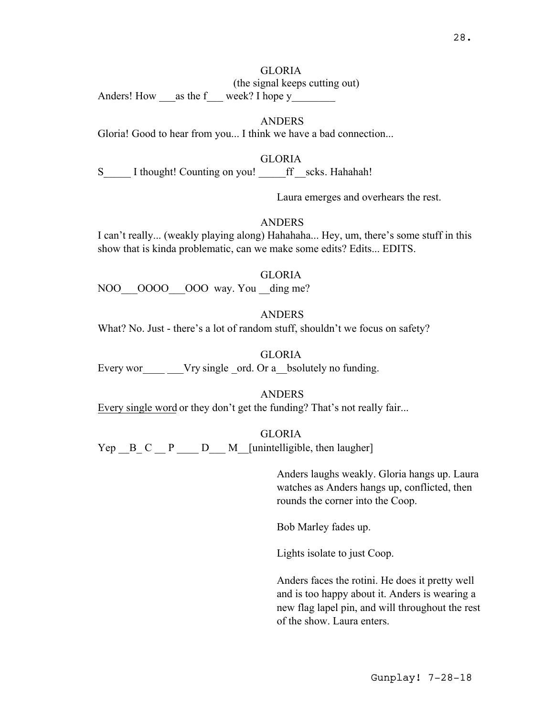# GLORIA

(the signal keeps cutting out)

Anders! How as the f week? I hope y

# ANDERS

Gloria! Good to hear from you... I think we have a bad connection...

GLORIA

S I thought! Counting on you! ff scks. Hahahah!

Laura emerges and overhears the rest.

# **ANDERS**

I can't really... (weakly playing along) Hahahaha... Hey, um, there's some stuff in this show that is kinda problematic, can we make some edits? Edits... EDITS.

#### GLORIA

NOO OOOO OOO way. You ding me?

# ANDERS

What? No. Just - there's a lot of random stuff, shouldn't we focus on safety?

# GLORIA

Every wor Vry single ord. Or a bsolutely no funding.

ANDERS

Every single word or they don't get the funding? That's not really fair...

GLORIA

 $Yep$   $B$   $C$   $P$   $D$   $M$  [unintelligible, then laugher]

Anders laughs weakly. Gloria hangs up. Laura watches as Anders hangs up, conflicted, then rounds the corner into the Coop.

Bob Marley fades up.

Lights isolate to just Coop.

Anders faces the rotini. He does it pretty well and is too happy about it. Anders is wearing a new flag lapel pin, and will throughout the rest of the show. Laura enters.

Gunplay! 7-28-18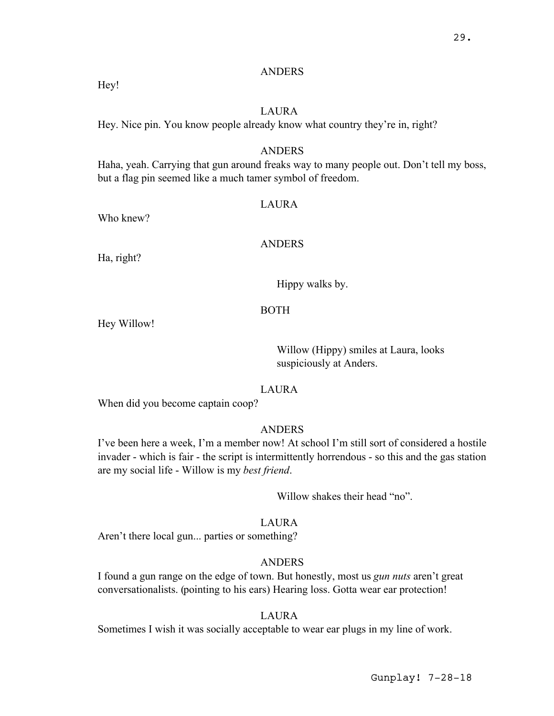## ANDERS

Hey!

# LAURA

Hey. Nice pin. You know people already know what country they're in, right?

# ANDERS

Haha, yeah. Carrying that gun around freaks way to many people out. Don't tell my boss, but a flag pin seemed like a much tamer symbol of freedom.

## LAURA

Who knew?

#### ANDERS

Ha, right?

Hippy walks by.

## BOTH

Hey Willow!

Willow (Hippy) smiles at Laura, looks suspiciously at Anders.

#### LAURA

When did you become captain coop?

## ANDERS

I've been here a week, I'm a member now! At school I'm still sort of considered a hostile invader - which is fair - the script is intermittently horrendous - so this and the gas station are my social life - Willow is my *best friend*.

Willow shakes their head "no".

# LAURA

Aren't there local gun... parties or something?

# ANDERS

I found a gun range on the edge of town. But honestly, most us *gun nuts* aren't great conversationalists. (pointing to his ears) Hearing loss. Gotta wear ear protection!

## LAURA

Sometimes I wish it was socially acceptable to wear ear plugs in my line of work.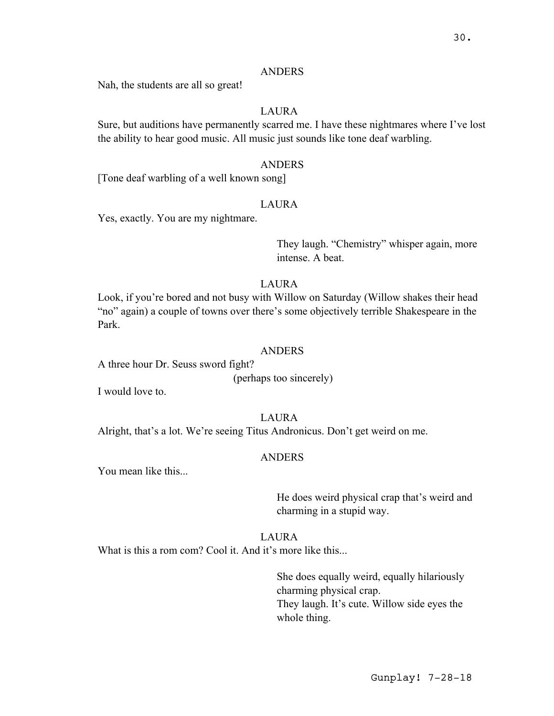#### ANDERS

Nah, the students are all so great!

## LAURA

Sure, but auditions have permanently scarred me. I have these nightmares where I've lost the ability to hear good music. All music just sounds like tone deaf warbling.

#### ANDERS

[Tone deaf warbling of a well known song]

#### LAURA

Yes, exactly. You are my nightmare.

They laugh. "Chemistry" whisper again, more intense. A beat.

# LAURA

Look, if you're bored and not busy with Willow on Saturday (Willow shakes their head "no" again) a couple of towns over there's some objectively terrible Shakespeare in the Park.

#### ANDERS

A three hour Dr. Seuss sword fight?

(perhaps too sincerely)

I would love to.

#### LAURA

Alright, that's a lot. We're seeing Titus Andronicus. Don't get weird on me.

# ANDERS

You mean like this...

He does weird physical crap that's weird and charming in a stupid way.

# LAURA

What is this a rom com? Cool it. And it's more like this...

She does equally weird, equally hilariously charming physical crap. They laugh. It's cute. Willow side eyes the whole thing.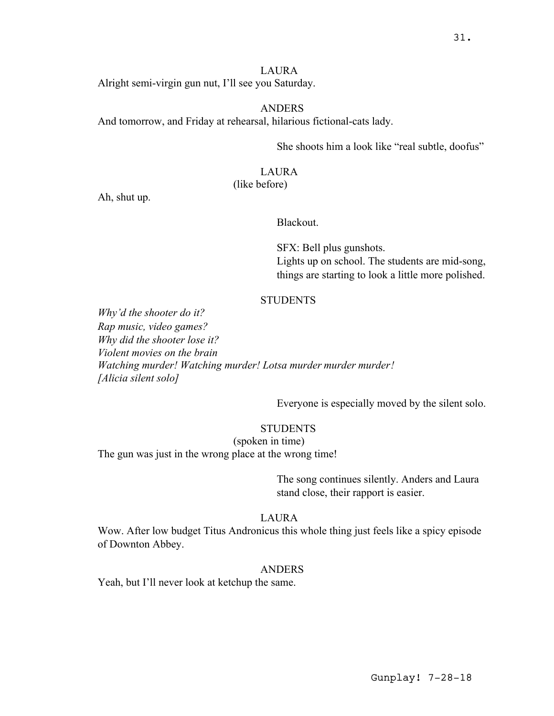#### LAURA

Alright semi-virgin gun nut, I'll see you Saturday.

#### ANDERS

And tomorrow, and Friday at rehearsal, hilarious fictional-cats lady.

She shoots him a look like "real subtle, doofus"

#### LAURA

## (like before)

Ah, shut up.

#### Blackout.

SFX: Bell plus gunshots. Lights up on school. The students are mid-song, things are starting to look a little more polished.

# **STUDENTS**

*Why'd the shooter do it? Rap music, video games? Why did the shooter lose it? Violent movies on the brain Watching murder! Watching murder! Lotsa murder murder murder! [Alicia silent solo]*

Everyone is especially moved by the silent solo.

# **STUDENTS**

(spoken in time) The gun was just in the wrong place at the wrong time!

> The song continues silently. Anders and Laura stand close, their rapport is easier.

#### LAURA

Wow. After low budget Titus Andronicus this whole thing just feels like a spicy episode of Downton Abbey.

#### ANDERS

Yeah, but I'll never look at ketchup the same.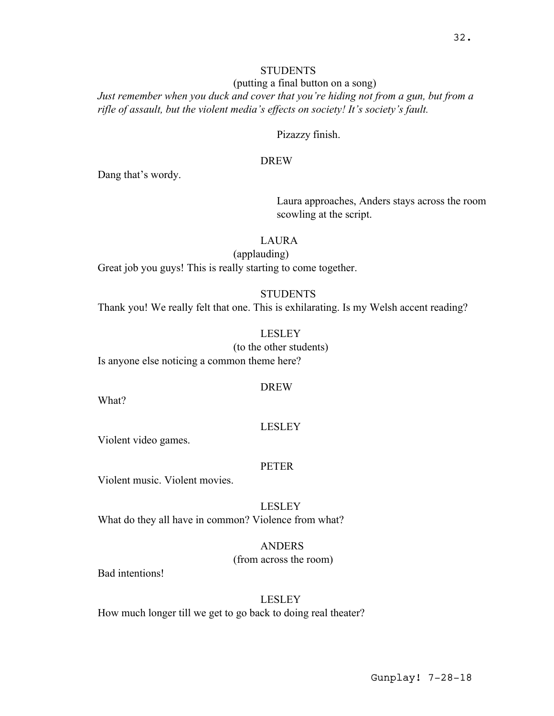# **STUDENTS**

(putting a final button on a song) *Just remember when you duck and cover that you're hiding not from a gun, but from a rifle of assault, but the violent media's effects on society! It's society's fault.*

Pizazzy finish.

## DREW

Dang that's wordy.

Laura approaches, Anders stays across the room scowling at the script.

# LAURA

(applauding) Great job you guys! This is really starting to come together.

#### **STUDENTS**

Thank you! We really felt that one. This is exhilarating. Is my Welsh accent reading?

LESLEY (to the other students)

Is anyone else noticing a common theme here?

#### DREW

What?

#### LESLEY

Violent video games.

#### PETER

Violent music. Violent movies.

LESLEY What do they all have in common? Violence from what?

> ANDERS (from across the room)

Bad intentions!

# LESLEY

How much longer till we get to go back to doing real theater?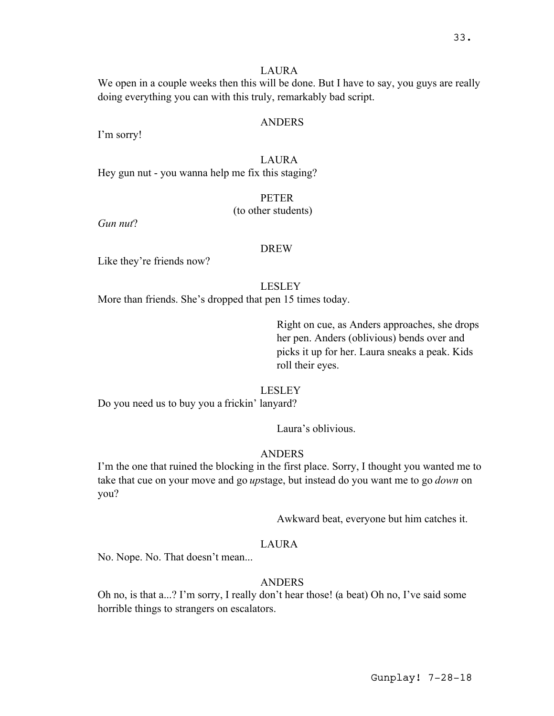## LAURA

We open in a couple weeks then this will be done. But I have to say, you guys are really doing everything you can with this truly, remarkably bad script.

#### ANDERS

I'm sorry!

## LAURA

Hey gun nut - you wanna help me fix this staging?

#### PETER

## (to other students)

*Gun nut*?

#### DREW

Like they're friends now?

#### LESLEY

More than friends. She's dropped that pen 15 times today.

Right on cue, as Anders approaches, she drops her pen. Anders (oblivious) bends over and picks it up for her. Laura sneaks a peak. Kids roll their eyes.

#### LESLEY

Do you need us to buy you a frickin' lanyard?

Laura's oblivious.

# ANDERS

I'm the one that ruined the blocking in the first place. Sorry, I thought you wanted me to take that cue on your move and go *up*stage, but instead do you want me to go *down* on you?

Awkward beat, everyone but him catches it.

# LAURA

No. Nope. No. That doesn't mean...

# ANDERS

Oh no, is that a...? I'm sorry, I really don't hear those! (a beat) Oh no, I've said some horrible things to strangers on escalators.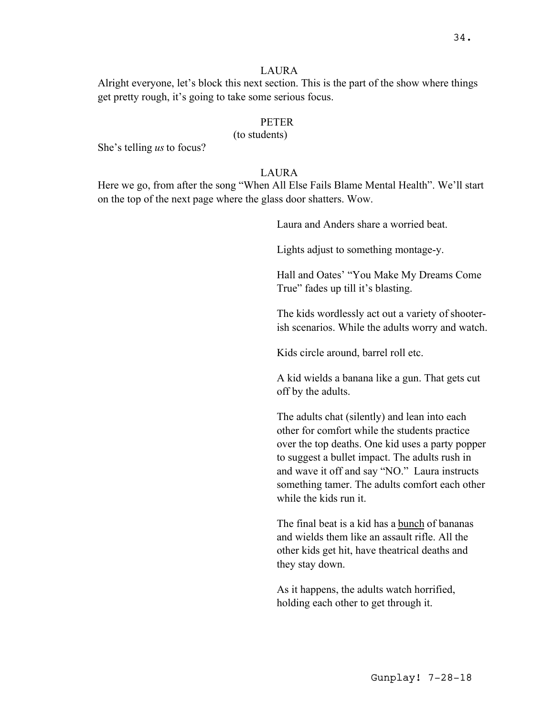#### LAURA

Alright everyone, let's block this next section. This is the part of the show where things get pretty rough, it's going to take some serious focus.

## **PETER**

(to students)

She's telling *us*to focus?

## LAURA

Here we go, from after the song "When All Else Fails Blame Mental Health". We'll start on the top of the next page where the glass door shatters. Wow.

Laura and Anders share a worried beat.

Lights adjust to something montage-y.

Hall and Oates' "You Make My Dreams Come True" fades up till it's blasting.

The kids wordlessly act out a variety of shooterish scenarios. While the adults worry and watch.

Kids circle around, barrel roll etc.

A kid wields a banana like a gun. That gets cut off by the adults.

The adults chat (silently) and lean into each other for comfort while the students practice over the top deaths. One kid uses a party popper to suggest a bullet impact. The adults rush in and wave it off and say "NO." Laura instructs something tamer. The adults comfort each other while the kids run it.

The final beat is a kid has a bunch of bananas and wields them like an assault rifle. All the other kids get hit, have theatrical deaths and they stay down.

As it happens, the adults watch horrified, holding each other to get through it.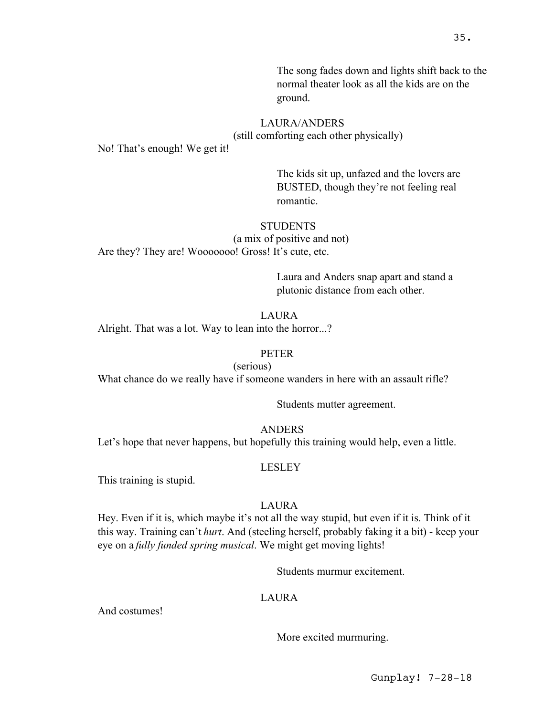The song fades down and lights shift back to the normal theater look as all the kids are on the ground.

# LAURA/ANDERS

(still comforting each other physically)

No! That's enough! We get it!

The kids sit up, unfazed and the lovers are BUSTED, though they're not feeling real romantic.

# **STUDENTS**

(a mix of positive and not)

Are they? They are! Wooooooo! Gross! It's cute, etc.

Laura and Anders snap apart and stand a plutonic distance from each other.

# LAURA

Alright. That was a lot. Way to lean into the horror...?

# PETER

(serious)

What chance do we really have if someone wanders in here with an assault rifle?

Students mutter agreement.

ANDERS

Let's hope that never happens, but hopefully this training would help, even a little.

# LESLEY

This training is stupid.

# LAURA

Hey. Even if it is, which maybe it's not all the way stupid, but even if it is. Think of it this way. Training can't *hurt*. And (steeling herself, probably faking it a bit) - keep your eye on a *fully funded spring musical*. We might get moving lights!

Students murmur excitement.

# LAURA

And costumes!

More excited murmuring.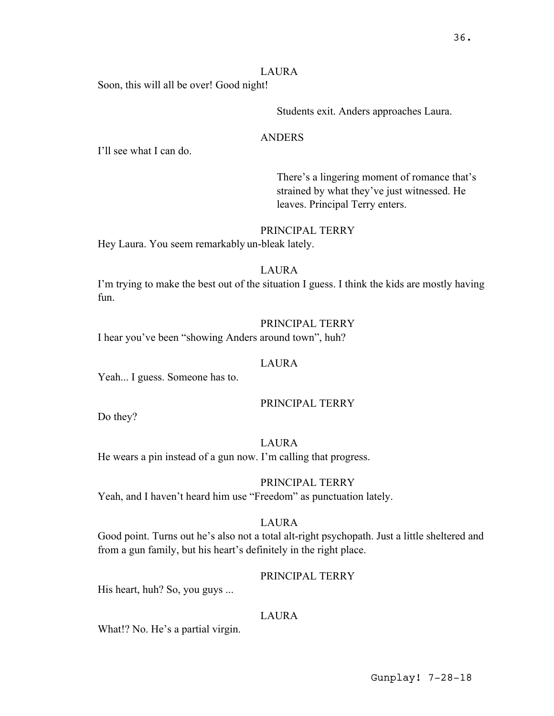## LAURA

Soon, this will all be over! Good night!

Students exit. Anders approaches Laura.

## ANDERS

I'll see what I can do.

There's a lingering moment of romance that's strained by what they've just witnessed. He leaves. Principal Terry enters.

# PRINCIPAL TERRY

Hey Laura. You seem remarkably un-bleak lately.

## LAURA

I'm trying to make the best out of the situation I guess. I think the kids are mostly having fun.

## PRINCIPAL TERRY

I hear you've been "showing Anders around town", huh?

#### LAURA

Yeah... I guess. Someone has to.

# PRINCIPAL TERRY

Do they?

# LAURA

He wears a pin instead of a gun now. I'm calling that progress.

# PRINCIPAL TERRY

Yeah, and I haven't heard him use "Freedom" as punctuation lately.

# LAURA

Good point. Turns out he's also not a total alt-right psychopath. Just a little sheltered and from a gun family, but his heart's definitely in the right place.

# PRINCIPAL TERRY

His heart, huh? So, you guys ...

# LAURA

What!? No. He's a partial virgin.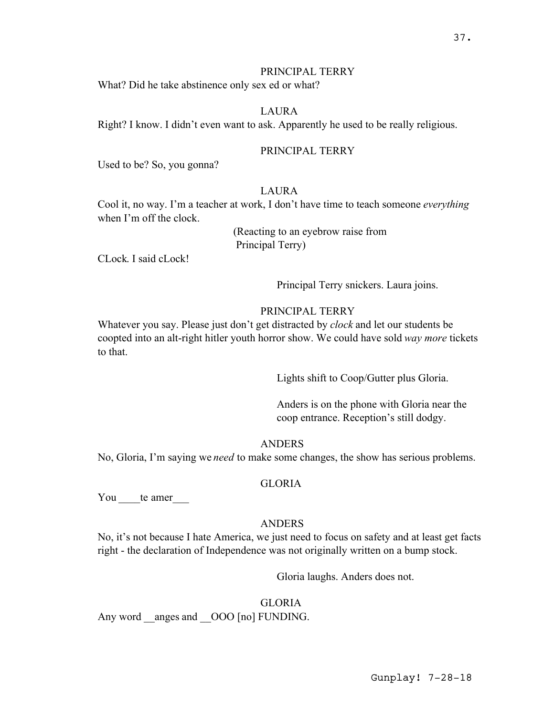## PRINCIPAL TERRY

What? Did he take abstinence only sex ed or what?

## LAURA

Right? I know. I didn't even want to ask. Apparently he used to be really religious.

# PRINCIPAL TERRY

Used to be? So, you gonna?

#### LAURA

Cool it, no way. I'm a teacher at work, I don't have time to teach someone *everything* when I'm off the clock.

> (Reacting to an eyebrow raise from Principal Terry)

CLock. I said cLock!

Principal Terry snickers. Laura joins.

## PRINCIPAL TERRY

Whatever you say. Please just don't get distracted by *clock* and let our students be coopted into an alt-right hitler youth horror show. We could have sold *way more* tickets to that.

Lights shift to Coop/Gutter plus Gloria.

Anders is on the phone with Gloria near the coop entrance. Reception's still dodgy.

#### ANDERS

No, Gloria, I'm saying we *need* to make some changes, the show has serious problems.

#### GLORIA

You te amer

#### ANDERS

No, it's not because I hate America, we just need to focus on safety and at least get facts right - the declaration of Independence was not originally written on a bump stock.

Gloria laughs. Anders does not.

#### GLORIA

Any word anges and \_\_OOO [no] FUNDING.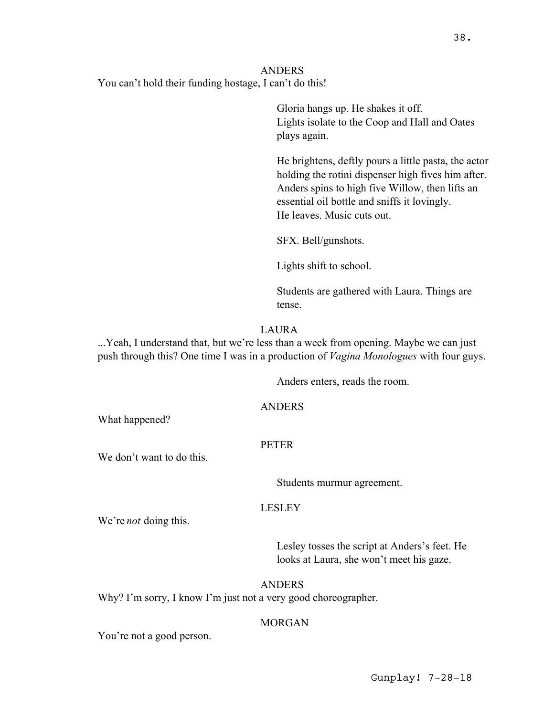38.

# ANDERS You can't hold their funding hostage, I can't do this!

Gloria hangs up. He shakes it off. Lights isolate to the Coop and Hall and Oates plays again.

He brightens, deftly pours a little pasta, the actor holding the rotini dispenser high fives him after. Anders spins to high five Willow, then lifts an essential oil bottle and sniffs it lovingly. He leaves. Music cuts out.

SFX. Bell/gunshots.

Lights shift to school.

Students are gathered with Laura. Things are tense.

# LAURA

...Yeah, I understand that, but we're less than a week from opening. Maybe we can just push through this? One time I was in a production of *Vagina Monologues* with four guys.

Anders enters, reads the room.

# ANDERS

What happened?

# **PETER**

We don't want to do this.

Students murmur agreement.

# LESLEY

We're *not* doing this.

Lesley tosses the script at Anders's feet. He looks at Laura, she won't meet his gaze.

# ANDERS

Why? I'm sorry, I know I'm just not a very good choreographer.

# MORGAN

You're not a good person.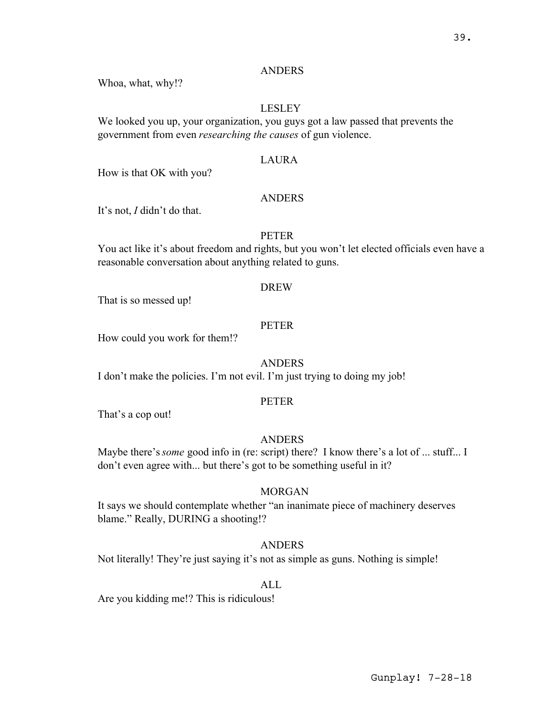## ANDERS

Whoa, what, why!?

## LESLEY

We looked you up, your organization, you guys got a law passed that prevents the government from even *researching the causes* of gun violence.

## LAURA

How is that OK with you?

#### ANDERS

It's not, *I* didn't do that.

## **PETER**

You act like it's about freedom and rights, but you won't let elected officials even have a reasonable conversation about anything related to guns.

#### DREW

That is so messed up!

## **PETER**

How could you work for them!?

## ANDERS

I don't make the policies. I'm not evil. I'm just trying to doing my job!

#### PETER

That's a cop out!

#### **ANDERS**

Maybe there's *some* good info in (re: script) there? I know there's a lot of ... stuff... I don't even agree with... but there's got to be something useful in it?

# MORGAN

It says we should contemplate whether "an inanimate piece of machinery deserves blame." Really, DURING a shooting!?

## ANDERS

Not literally! They're just saying it's not as simple as guns. Nothing is simple!

#### ALL

Are you kidding me!? This is ridiculous!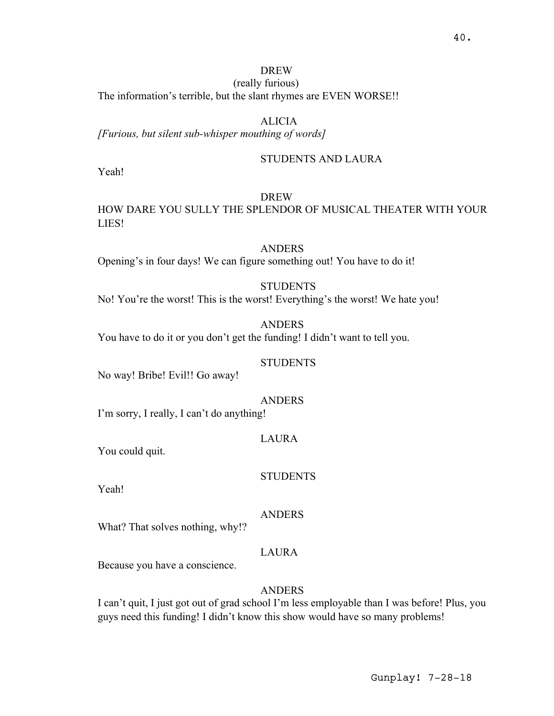# DREW

(really furious) The information's terrible, but the slant rhymes are EVEN WORSE!!

# ALICIA

*[Furious, but silent sub-whisper mouthing of words]*

# STUDENTS AND LAURA

Yeah!

# DREW

HOW DARE YOU SULLY THE SPLENDOR OF MUSICAL THEATER WITH YOUR LIES!

# ANDERS

Opening's in four days! We can figure something out! You have to do it!

# **STUDENTS**

No! You're the worst! This is the worst! Everything's the worst! We hate you!

#### ANDERS

You have to do it or you don't get the funding! I didn't want to tell you.

## **STUDENTS**

No way! Bribe! Evil!! Go away!

#### ANDERS

I'm sorry, I really, I can't do anything!

## LAURA

You could quit.

#### **STUDENTS**

Yeah!

#### ANDERS

What? That solves nothing, why!?

# LAURA

Because you have a conscience.

#### ANDERS

I can't quit, I just got out of grad school I'm less employable than I was before! Plus, you guys need this funding! I didn't know this show would have so many problems!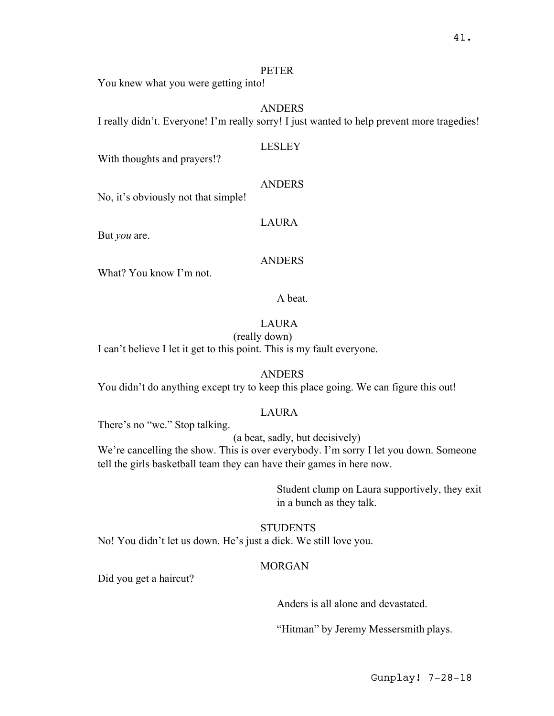## PETER

You knew what you were getting into!

## ANDERS

I really didn't. Everyone! I'm really sorry! I just wanted to help prevent more tragedies!

## LESLEY

With thoughts and prayers!?

## ANDERS

No, it's obviously not that simple!

LAURA

But *you* are.

## **ANDERS**

What? You know I'm not.

## A beat.

# LAURA

## (really down)

I can't believe I let it get to this point. This is my fault everyone.

# ANDERS

You didn't do anything except try to keep this place going. We can figure this out!

# LAURA

There's no "we." Stop talking.

(a beat, sadly, but decisively)

We're cancelling the show. This is over everybody. I'm sorry I let you down. Someone tell the girls basketball team they can have their games in here now.

> Student clump on Laura supportively, they exit in a bunch as they talk.

**STUDENTS** No! You didn't let us down. He's just a dick. We still love you.

# MORGAN

Did you get a haircut?

Anders is all alone and devastated.

"Hitman" by Jeremy Messersmith plays.

Gunplay! 7-28-18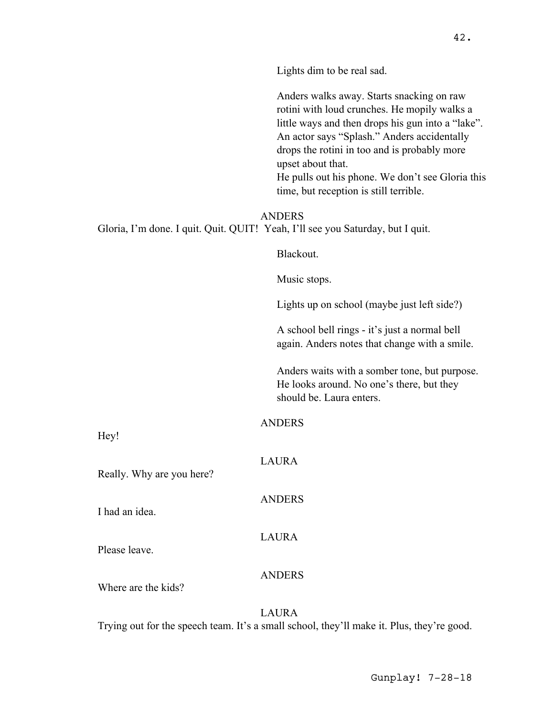Lights dim to be real sad.

Anders walks away. Starts snacking on raw rotini with loud crunches. He mopily walks a little ways and then drops his gun into a "lake". An actor says "Splash." Anders accidentally drops the rotini in too and is probably more upset about that. He pulls out his phone. We don't see Gloria this time, but reception is still terrible.

ANDERS Gloria, I'm done. I quit. Quit. QUIT! Yeah, I'll see you Saturday, but I quit.

Blackout.

Music stops.

Lights up on school (maybe just left side?)

A school bell rings - it's just a normal bell again. Anders notes that change with a smile.

Anders waits with a somber tone, but purpose. He looks around. No one's there, but they should be. Laura enters.

ANDERS

Hey!

Really. Why are you here?

I had an idea.

Please leave.

LAURA

**ANDERS** 

LAURA

ANDERS

Where are the kids?

LAURA Trying out for the speech team. It's a small school, they'll make it. Plus, they're good.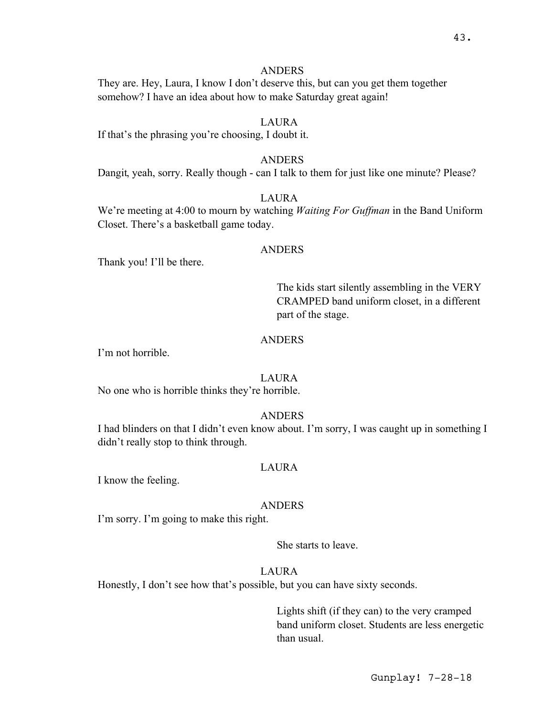## ANDERS

They are. Hey, Laura, I know I don't deserve this, but can you get them together somehow? I have an idea about how to make Saturday great again!

# **LAURA**

If that's the phrasing you're choosing, I doubt it.

#### ANDERS

Dangit, yeah, sorry. Really though - can I talk to them for just like one minute? Please?

## **LAURA**

We're meeting at 4:00 to mourn by watching *Waiting For Guffman* in the Band Uniform Closet. There's a basketball game today.

## ANDERS

Thank you! I'll be there.

The kids start silently assembling in the VERY CRAMPED band uniform closet, in a different part of the stage.

# ANDERS

I'm not horrible.

## LAURA

No one who is horrible thinks they're horrible.

#### ANDERS

I had blinders on that I didn't even know about. I'm sorry, I was caught up in something I didn't really stop to think through.

#### LAURA

I know the feeling.

#### ANDERS

I'm sorry. I'm going to make this right.

She starts to leave.

## LAURA

Honestly, I don't see how that's possible, but you can have sixty seconds.

Lights shift (if they can) to the very cramped band uniform closet. Students are less energetic than usual.

Gunplay! 7-28-18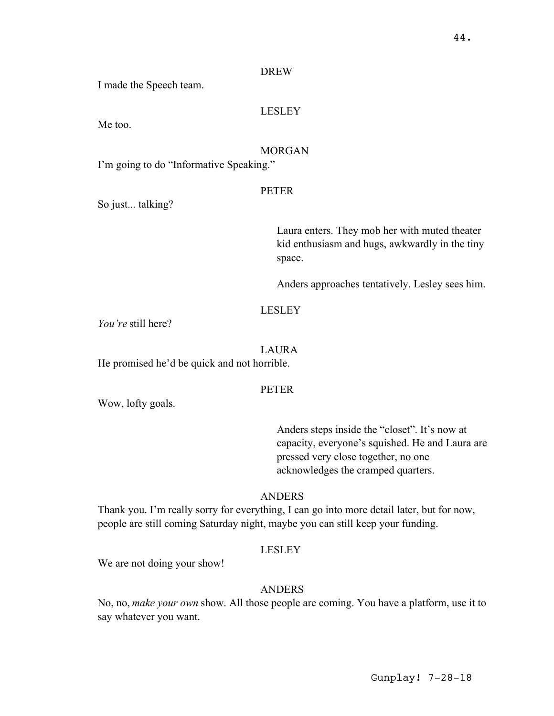#### DREW

I made the Speech team.

# LESLEY

Me too.

# MORGAN

I'm going to do "Informative Speaking."

#### PETER

So just... talking?

Laura enters. They mob her with muted theater kid enthusiasm and hugs, awkwardly in the tiny space.

Anders approaches tentatively. Lesley sees him.

# LESLEY

*You're* still here?

#### LAURA

He promised he'd be quick and not horrible.

#### PETER

Wow, lofty goals.

Anders steps inside the "closet". It's now at capacity, everyone's squished. He and Laura are pressed very close together, no one acknowledges the cramped quarters.

## ANDERS

Thank you. I'm really sorry for everything, I can go into more detail later, but for now, people are still coming Saturday night, maybe you can still keep your funding.

#### LESLEY

We are not doing your show!

## ANDERS

No, no, *make your own* show. All those people are coming. You have a platform, use it to say whatever you want.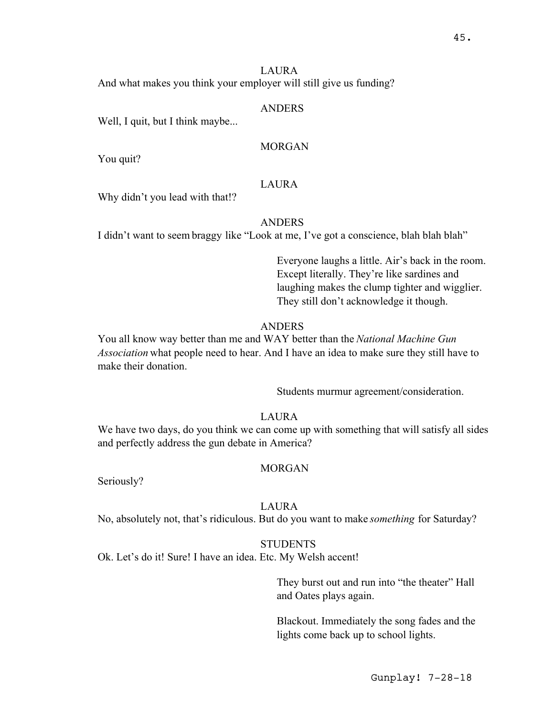## LAURA

And what makes you think your employer will still give us funding?

#### ANDERS

Well, I quit, but I think maybe...

# MORGAN

You quit?

# LAURA

Why didn't you lead with that!?

#### **ANDERS**

I didn't want to seem braggy like "Look at me, I've got a conscience, blah blah blah"

Everyone laughs a little. Air's back in the room. Except literally. They're like sardines and laughing makes the clump tighter and wigglier. They still don't acknowledge it though.

#### ANDERS

You all know way better than me and WAY better than the *National Machine Gun Association* what people need to hear. And I have an idea to make sure they still have to make their donation.

Students murmur agreement/consideration.

## LAURA

We have two days, do you think we can come up with something that will satisfy all sides and perfectly address the gun debate in America?

#### MORGAN

Seriously?

#### LAURA

No, absolutely not, that's ridiculous. But do you want to make *something* for Saturday?

## **STUDENTS**

Ok. Let's do it! Sure! I have an idea. Etc. My Welsh accent!

They burst out and run into "the theater" Hall and Oates plays again.

Blackout. Immediately the song fades and the lights come back up to school lights.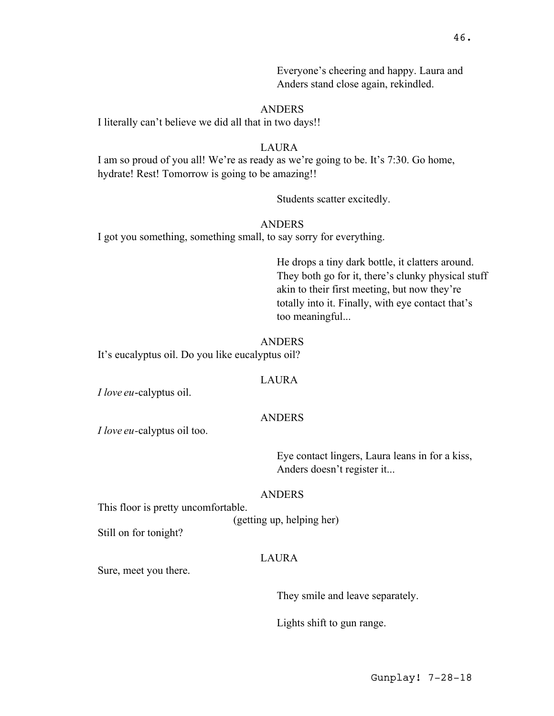Everyone's cheering and happy. Laura and Anders stand close again, rekindled.

# ANDERS

I literally can't believe we did all that in two days!!

#### LAURA

I am so proud of you all! We're as ready as we're going to be. It's 7:30. Go home, hydrate! Rest! Tomorrow is going to be amazing!!

Students scatter excitedly.

# ANDERS

I got you something, something small, to say sorry for everything.

He drops a tiny dark bottle, it clatters around. They both go for it, there's clunky physical stuff akin to their first meeting, but now they're totally into it. Finally, with eye contact that's too meaningful...

#### ANDERS

It's eucalyptus oil. Do you like eucalyptus oil?

## **LAURA**

*I love eu*-calyptus oil.

#### ANDERS

*I love eu-*calyptus oil too.

Eye contact lingers, Laura leans in for a kiss, Anders doesn't register it...

#### ANDERS

This floor is pretty uncomfortable.

(getting up, helping her)

Still on for tonight?

# LAURA

Sure, meet you there.

They smile and leave separately.

Lights shift to gun range.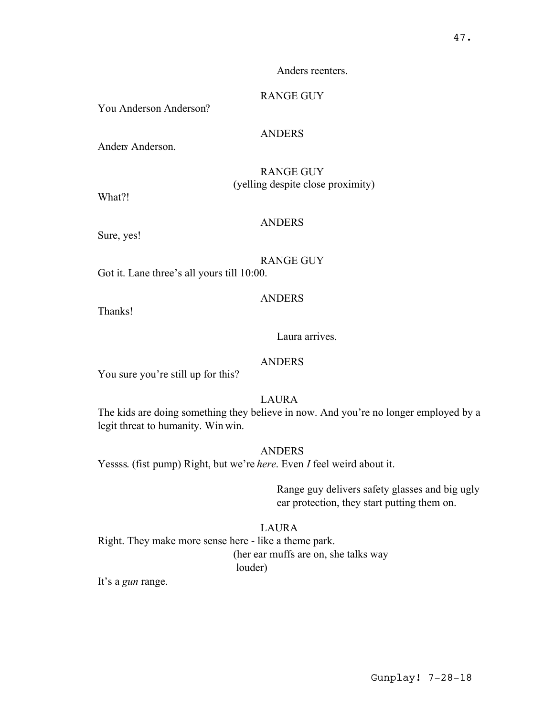#### Anders reenters.

# RANGE GUY

You Anderson Anderson?

## ANDERS

Ander*s* Anderson.

RANGE GUY (yelling despite close proximity)

What?!

#### ANDERS

Sure, yes!

#### RANGE GUY

Got it. Lane three's all yours till 10:00.

## ANDERS

Thanks!

#### Laura arrives.

#### ANDERS

You sure you're still up for this?

LAURA

The kids are doing something they believe in now. And you're no longer employed by a legit threat to humanity. Win win.

ANDERS

Yessss. (fist pump) Right, but we're *here*. Even *I* feel weird about it.

Range guy delivers safety glasses and big ugly ear protection, they start putting them on.

#### LAURA

Right. They make more sense here - like a theme park. (her ear muffs are on, she talks way louder)

It's a *gun* range.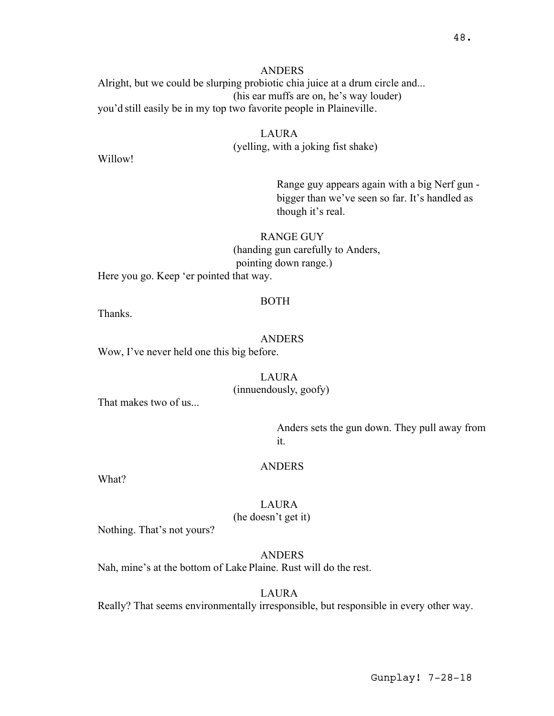ANDERS Alright, but we could be slurping probiotic chia juice at a drum circle and... (his ear muffs are on, he's way louder) you'd still easily be in my top two favorite people in Plaineville.

## LAURA (yelling, with a joking fist shake)

Willow!

Range guy appears again with a big Nerf gun bigger than we've seen so far. It's handled as though it's real.

# RANGE GUY

(handing gun carefully to Anders,

pointing down range.)

Here you go. Keep 'er pointed that way.

#### BOTH

Thanks.

#### ANDERS

Wow, I've never held one this big before.

## LAURA

(innuendously, goofy)

That makes two of us...

Anders sets the gun down. They pull away from it.

#### ANDERS

What?

LAURA (he doesn't get it)

Nothing. That's not yours?

# ANDERS

Nah, mine's at the bottom of Lake Plaine. Rust will do the rest.

LAURA

Really? That seems environmentally irresponsible, but responsible in every other way.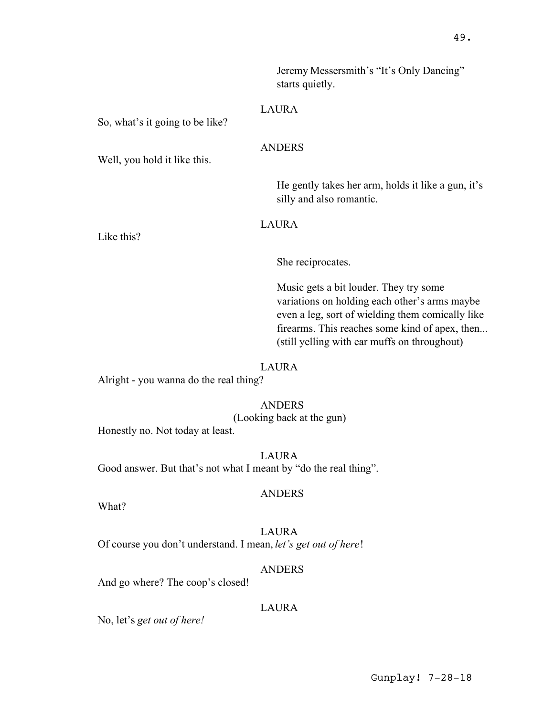Jeremy Messersmith's "It's Only Dancing" starts quietly.

## LAURA

ANDERS

So, what's it going to be like?

Well, you hold it like this.

He gently takes her arm, holds it like a gun, it's silly and also romantic.

LAURA

Like this?

She reciprocates.

Music gets a bit louder. They try some variations on holding each other's arms maybe even a leg, sort of wielding them comically like firearms. This reaches some kind of apex, then... (still yelling with ear muffs on throughout)

#### LAURA

Alright - you wanna do the real thing?

ANDERS (Looking back at the gun)

Honestly no. Not today at least.

LAURA Good answer. But that's not what I meant by "do the real thing".

#### ANDERS

What?

LAURA Of course you don't understand. I mean, *let's get out of here*!

## ANDERS

And go where? The coop's closed!

## LAURA

No, let's *get out of here!*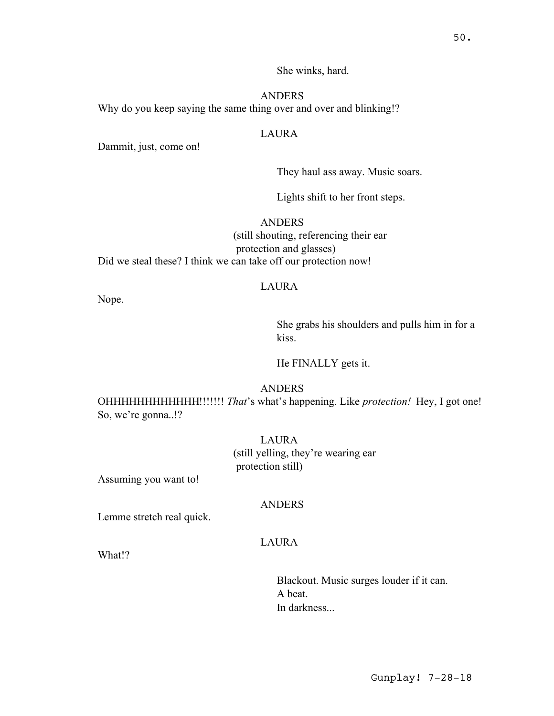She winks, hard.

ANDERS Why do you keep saying the same thing over and over and blinking!?

# LAURA

Dammit, just, come on!

They haul ass away. Music soars.

Lights shift to her front steps.

# ANDERS

(still shouting, referencing their ear protection and glasses) Did we steal these? I think we can take off our protection now!

#### LAURA

Nope.

She grabs his shoulders and pulls him in for a kiss.

He FINALLY gets it.

# ANDERS

OHHHHHHHHHHHH!!!!!!! *That*'s what's happening. Like *protection!* Hey, I got one! So, we're gonna..!?

> LAURA (still yelling, they're wearing ear protection still)

Assuming you want to!

## **ANDERS**

Lemme stretch real quick.

# LAURA

What!?

Blackout. Music surges louder if it can. A beat. In darkness...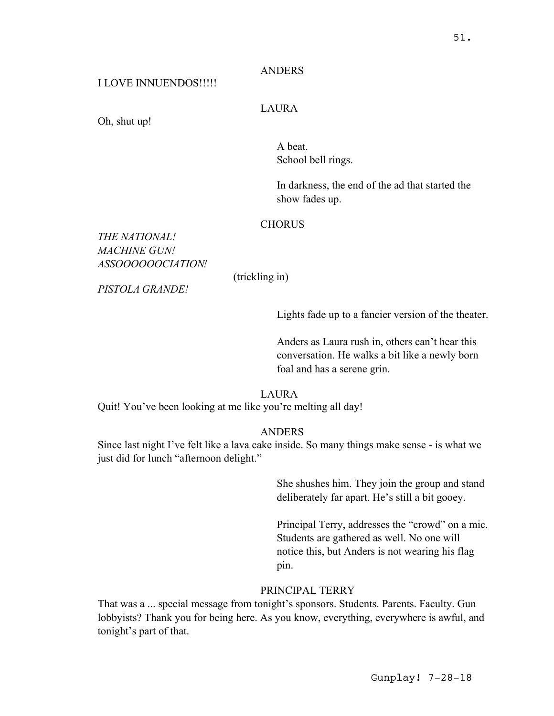# ANDERS

# I LOVE INNUENDOS!!!!!

## LAURA

Oh, shut up!

A beat. School bell rings.

In darkness, the end of the ad that started the show fades up.

## **CHORUS**

# *THE NATIONAL! MACHINE GUN! ASSOOOOOOCIATION!*

(trickling in)

*PISTOLA GRANDE!*

Lights fade up to a fancier version of the theater.

Anders as Laura rush in, others can't hear this conversation. He walks a bit like a newly born foal and has a serene grin.

LAURA

Quit! You've been looking at me like you're melting all day!

# ANDERS

Since last night I've felt like a lava cake inside. So many things make sense - is what we just did for lunch "afternoon delight."

> She shushes him. They join the group and stand deliberately far apart. He's still a bit gooey.

Principal Terry, addresses the "crowd" on a mic. Students are gathered as well. No one will notice this, but Anders is not wearing his flag pin.

#### PRINCIPAL TERRY

That was a ... special message from tonight's sponsors. Students. Parents. Faculty. Gun lobbyists? Thank you for being here. As you know, everything, everywhere is awful, and tonight's part of that.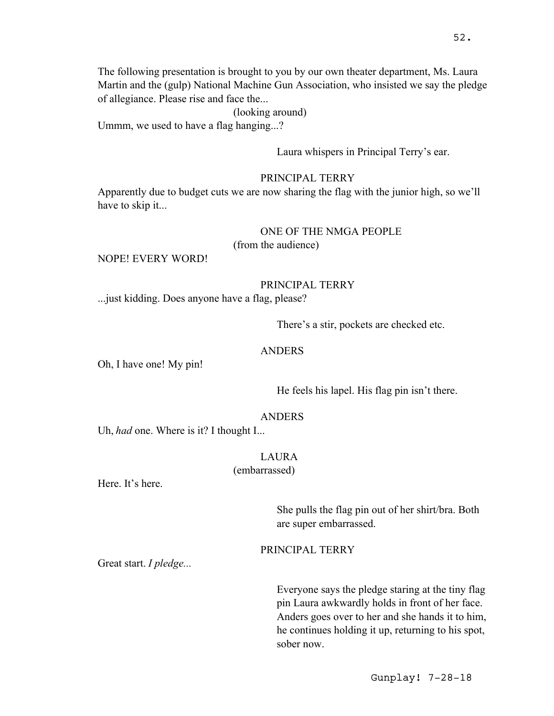The following presentation is brought to you by our own theater department, Ms. Laura Martin and the (gulp) National Machine Gun Association, who insisted we say the pledge of allegiance. Please rise and face the...

(looking around)

Ummm, we used to have a flag hanging...?

Laura whispers in Principal Terry's ear.

#### PRINCIPAL TERRY

Apparently due to budget cuts we are now sharing the flag with the junior high, so we'll have to skip it...

#### ONE OF THE NMGA PEOPLE

(from the audience)

NOPE! EVERY WORD!

#### PRINCIPAL TERRY

...just kidding. Does anyone have a flag, please?

There's a stir, pockets are checked etc.

#### ANDERS

Oh, I have one! My pin!

He feels his lapel. His flag pin isn't there.

#### ANDERS

Uh, *had* one. Where is it? I thought I...

#### LAURA

(embarrassed)

Here. It's here.

She pulls the flag pin out of her shirt/bra. Both are super embarrassed.

PRINCIPAL TERRY

Great start. *I pledge...*

Everyone says the pledge staring at the tiny flag pin Laura awkwardly holds in front of her face. Anders goes over to her and she hands it to him, he continues holding it up, returning to his spot, sober now.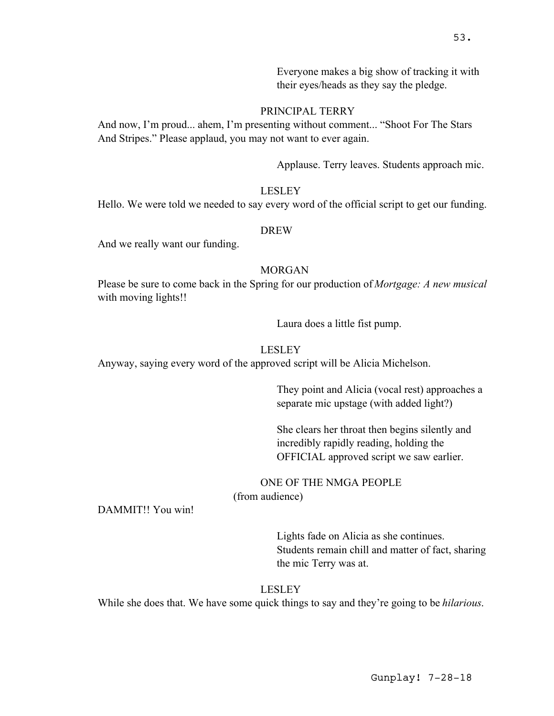Everyone makes a big show of tracking it with their eyes/heads as they say the pledge.

# PRINCIPAL TERRY

And now, I'm proud... ahem, I'm presenting without comment... "Shoot For The Stars And Stripes." Please applaud, you may not want to ever again.

Applause. Terry leaves. Students approach mic.

#### LESLEY

Hello. We were told we needed to say every word of the official script to get our funding.

#### DREW

And we really want our funding.

# MORGAN

Please be sure to come back in the Spring for our production of *Mortgage: A new musical* with moving lights!!

Laura does a little fist pump.

#### LESLEY

Anyway, saying every word of the approved script will be Alicia Michelson.

They point and Alicia (vocal rest) approaches a separate mic upstage (with added light?)

She clears her throat then begins silently and incredibly rapidly reading, holding the OFFICIAL approved script we saw earlier.

ONE OF THE NMGA PEOPLE

(from audience)

DAMMIT!! You win!

Lights fade on Alicia as she continues. Students remain chill and matter of fact, sharing the mic Terry was at.

#### LESLEY

While she does that. We have some quick things to say and they're going to be *hilarious*.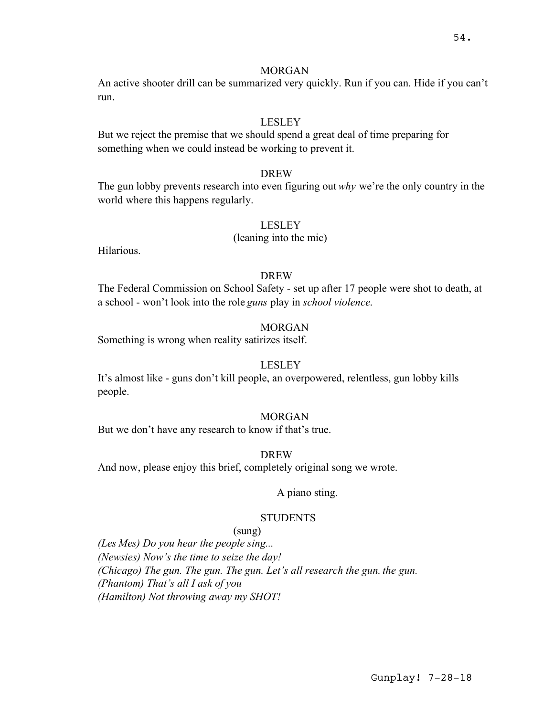## MORGAN

An active shooter drill can be summarized very quickly. Run if you can. Hide if you can't run.

## LESLEY

But we reject the premise that we should spend a great deal of time preparing for something when we could instead be working to prevent it.

#### DREW

The gun lobby prevents research into even figuring out *why* we're the only country in the world where this happens regularly.

#### LESLEY

## (leaning into the mic)

Hilarious.

# DREW

The Federal Commission on School Safety - set up after 17 people were shot to death, at a school - won't look into the role *guns* play in *school violence*.

#### MORGAN

Something is wrong when reality satirizes itself.

#### LESLEY

It's almost like - guns don't kill people, an overpowered, relentless, gun lobby kills people.

#### MORGAN

But we don't have any research to know if that's true.

DREW

And now, please enjoy this brief, completely original song we wrote.

# A piano sting.

## **STUDENTS**

## (sung)

*(Les Mes) Do you hear the people sing... (Newsies) Now's the time to seize the day! (Chicago) The gun. The gun. The gun. Let's all research the gun. the gun. (Phantom) That's all I ask of you (Hamilton) Not throwing away my SHOT!*